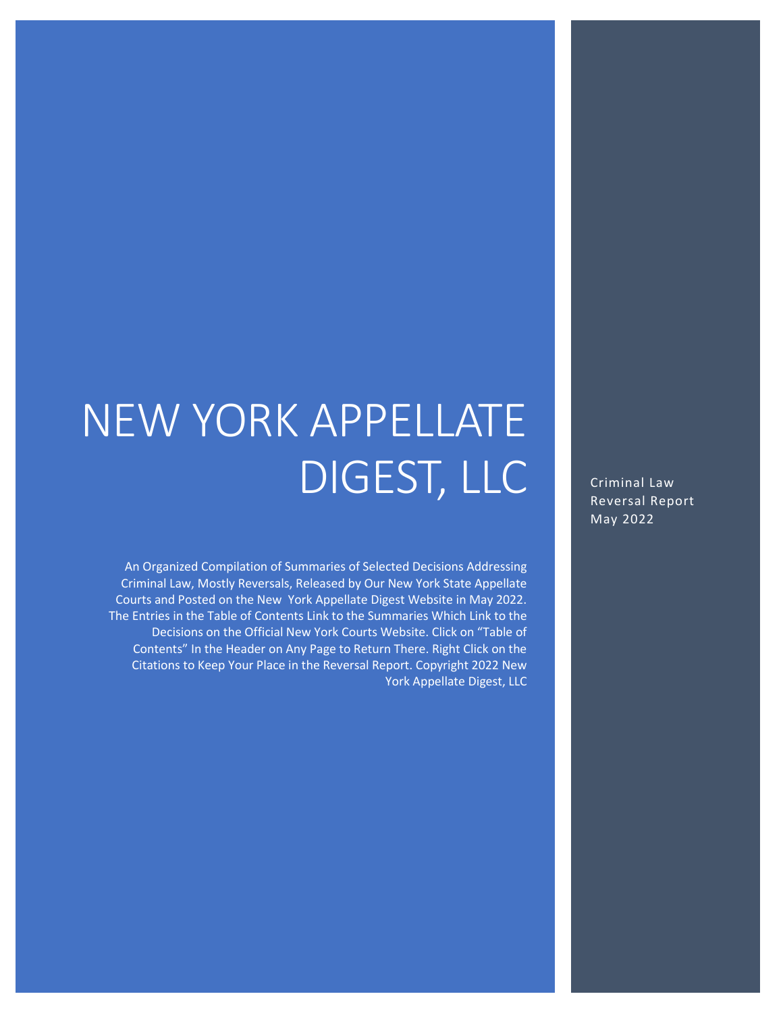# NEW YORK APPELLATE DIGEST, LLC

An Organized Compilation of Summaries of Selected Decisions Addressing Criminal Law, Mostly Reversals, Released by Our New York State Appellate Courts and Posted on the New York Appellate Digest Website in May 2022. The Entries in the Table of Contents Link to the Summaries Which Link to the Decisions on the Official New York Courts Website. Click on "Table of Contents" In the Header on Any Page to Return There. Right Click on the Citations to Keep Your Place in the Reversal Report. Copyright 2022 New York Appellate Digest, LLC

Criminal Law Reversal Report May 2022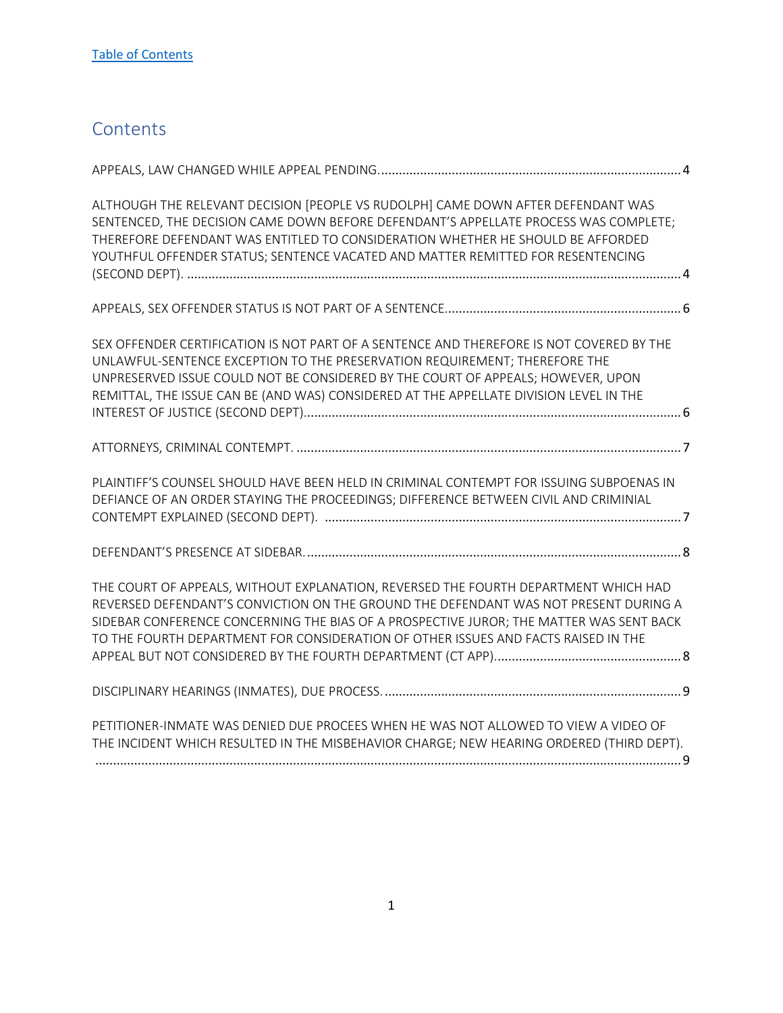# <span id="page-1-0"></span>**Contents**

| ALTHOUGH THE RELEVANT DECISION [PEOPLE VS RUDOLPH] CAME DOWN AFTER DEFENDANT WAS<br>SENTENCED, THE DECISION CAME DOWN BEFORE DEFENDANT'S APPELLATE PROCESS WAS COMPLETE;<br>THEREFORE DEFENDANT WAS ENTITLED TO CONSIDERATION WHETHER HE SHOULD BE AFFORDED<br>YOUTHFUL OFFENDER STATUS; SENTENCE VACATED AND MATTER REMITTED FOR RESENTENCING               |
|--------------------------------------------------------------------------------------------------------------------------------------------------------------------------------------------------------------------------------------------------------------------------------------------------------------------------------------------------------------|
|                                                                                                                                                                                                                                                                                                                                                              |
| SEX OFFENDER CERTIFICATION IS NOT PART OF A SENTENCE AND THEREFORE IS NOT COVERED BY THE<br>UNLAWFUL-SENTENCE EXCEPTION TO THE PRESERVATION REQUIREMENT; THEREFORE THE<br>UNPRESERVED ISSUE COULD NOT BE CONSIDERED BY THE COURT OF APPEALS; HOWEVER, UPON<br>REMITTAL, THE ISSUE CAN BE (AND WAS) CONSIDERED AT THE APPELLATE DIVISION LEVEL IN THE         |
|                                                                                                                                                                                                                                                                                                                                                              |
| PLAINTIFF'S COUNSEL SHOULD HAVE BEEN HELD IN CRIMINAL CONTEMPT FOR ISSUING SUBPOENAS IN<br>DEFIANCE OF AN ORDER STAYING THE PROCEEDINGS; DIFFERENCE BETWEEN CIVIL AND CRIMINIAL                                                                                                                                                                              |
|                                                                                                                                                                                                                                                                                                                                                              |
| THE COURT OF APPEALS, WITHOUT EXPLANATION, REVERSED THE FOURTH DEPARTMENT WHICH HAD<br>REVERSED DEFENDANT'S CONVICTION ON THE GROUND THE DEFENDANT WAS NOT PRESENT DURING A<br>SIDEBAR CONFERENCE CONCERNING THE BIAS OF A PROSPECTIVE JUROR; THE MATTER WAS SENT BACK<br>TO THE FOURTH DEPARTMENT FOR CONSIDERATION OF OTHER ISSUES AND FACTS RAISED IN THE |
|                                                                                                                                                                                                                                                                                                                                                              |
| PETITIONER-INMATE WAS DENIED DUE PROCEES WHEN HE WAS NOT ALLOWED TO VIEW A VIDEO OF<br>THE INCIDENT WHICH RESULTED IN THE MISBEHAVIOR CHARGE; NEW HEARING ORDERED (THIRD DEPT).                                                                                                                                                                              |
|                                                                                                                                                                                                                                                                                                                                                              |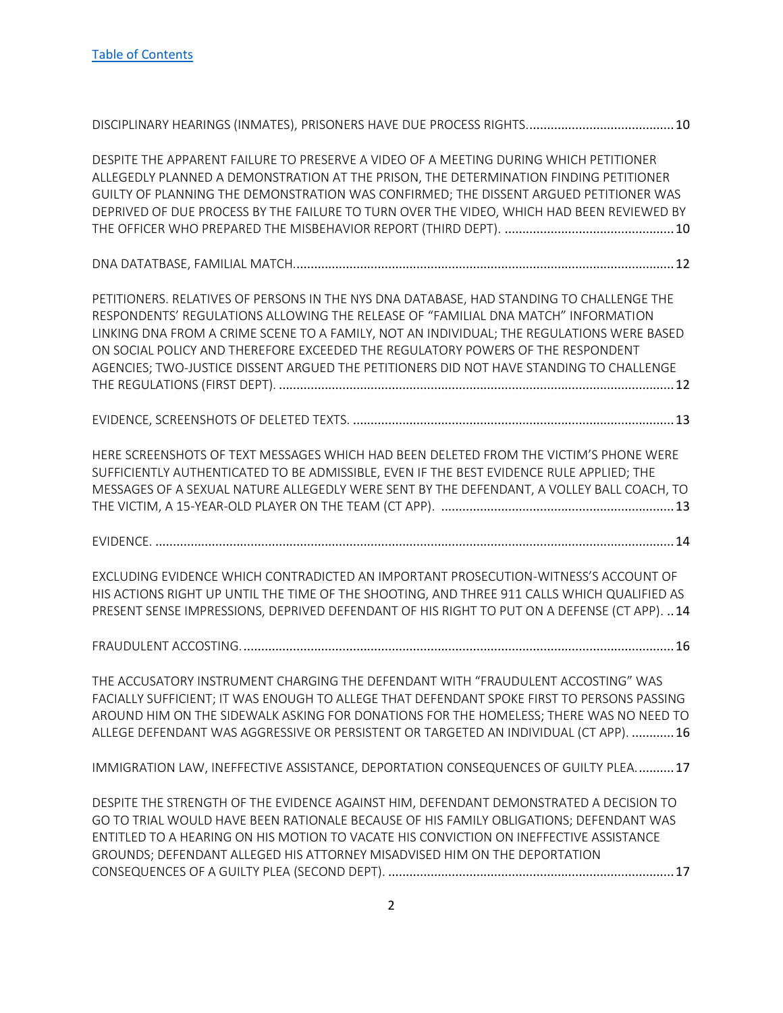| DESPITE THE APPARENT FAILURE TO PRESERVE A VIDEO OF A MEETING DURING WHICH PETITIONER<br>ALLEGEDLY PLANNED A DEMONSTRATION AT THE PRISON, THE DETERMINATION FINDING PETITIONER<br>GUILTY OF PLANNING THE DEMONSTRATION WAS CONFIRMED; THE DISSENT ARGUED PETITIONER WAS<br>DEPRIVED OF DUE PROCESS BY THE FAILURE TO TURN OVER THE VIDEO, WHICH HAD BEEN REVIEWED BY                                                                                     |
|----------------------------------------------------------------------------------------------------------------------------------------------------------------------------------------------------------------------------------------------------------------------------------------------------------------------------------------------------------------------------------------------------------------------------------------------------------|
|                                                                                                                                                                                                                                                                                                                                                                                                                                                          |
| PETITIONERS. RELATIVES OF PERSONS IN THE NYS DNA DATABASE, HAD STANDING TO CHALLENGE THE<br>RESPONDENTS' REGULATIONS ALLOWING THE RELEASE OF "FAMILIAL DNA MATCH" INFORMATION<br>LINKING DNA FROM A CRIME SCENE TO A FAMILY, NOT AN INDIVIDUAL; THE REGULATIONS WERE BASED<br>ON SOCIAL POLICY AND THEREFORE EXCEEDED THE REGULATORY POWERS OF THE RESPONDENT<br>AGENCIES; TWO-JUSTICE DISSENT ARGUED THE PETITIONERS DID NOT HAVE STANDING TO CHALLENGE |
|                                                                                                                                                                                                                                                                                                                                                                                                                                                          |
| HERE SCREENSHOTS OF TEXT MESSAGES WHICH HAD BEEN DELETED FROM THE VICTIM'S PHONE WERE<br>SUFFICIENTLY AUTHENTICATED TO BE ADMISSIBLE, EVEN IF THE BEST EVIDENCE RULE APPLIED; THE<br>MESSAGES OF A SEXUAL NATURE ALLEGEDLY WERE SENT BY THE DEFENDANT, A VOLLEY BALL COACH, TO                                                                                                                                                                           |
|                                                                                                                                                                                                                                                                                                                                                                                                                                                          |
| EXCLUDING EVIDENCE WHICH CONTRADICTED AN IMPORTANT PROSECUTION-WITNESS'S ACCOUNT OF<br>HIS ACTIONS RIGHT UP UNTIL THE TIME OF THE SHOOTING, AND THREE 911 CALLS WHICH QUALIFIED AS<br>PRESENT SENSE IMPRESSIONS, DEPRIVED DEFENDANT OF HIS RIGHT TO PUT ON A DEFENSE (CT APP).  14                                                                                                                                                                       |
|                                                                                                                                                                                                                                                                                                                                                                                                                                                          |
| THE ACCUSATORY INSTRUMENT CHARGING THE DEFENDANT WITH "FRAUDULENT ACCOSTING" WAS<br>FACIALLY SUFFICIENT; IT WAS ENOUGH TO ALLEGE THAT DEFENDANT SPOKE FIRST TO PERSONS PASSING<br>AROUND HIM ON THE SIDEWALK ASKING FOR DONATIONS FOR THE HOMELESS; THERE WAS NO NEED TO<br>ALLEGE DEFENDANT WAS AGGRESSIVE OR PERSISTENT OR TARGETED AN INDIVIDUAL (CT APP).  16                                                                                        |
| IMMIGRATION LAW, INEFFECTIVE ASSISTANCE, DEPORTATION CONSEQUENCES OF GUILTY PLEA 17                                                                                                                                                                                                                                                                                                                                                                      |
| DESPITE THE STRENGTH OF THE EVIDENCE AGAINST HIM, DEFENDANT DEMONSTRATED A DECISION TO<br>GO TO TRIAL WOULD HAVE BEEN RATIONALE BECAUSE OF HIS FAMILY OBLIGATIONS; DEFENDANT WAS<br>ENTITLED TO A HEARING ON HIS MOTION TO VACATE HIS CONVICTION ON INEFFECTIVE ASSISTANCE<br>GROUNDS; DEFENDANT ALLEGED HIS ATTORNEY MISADVISED HIM ON THE DEPORTATION                                                                                                  |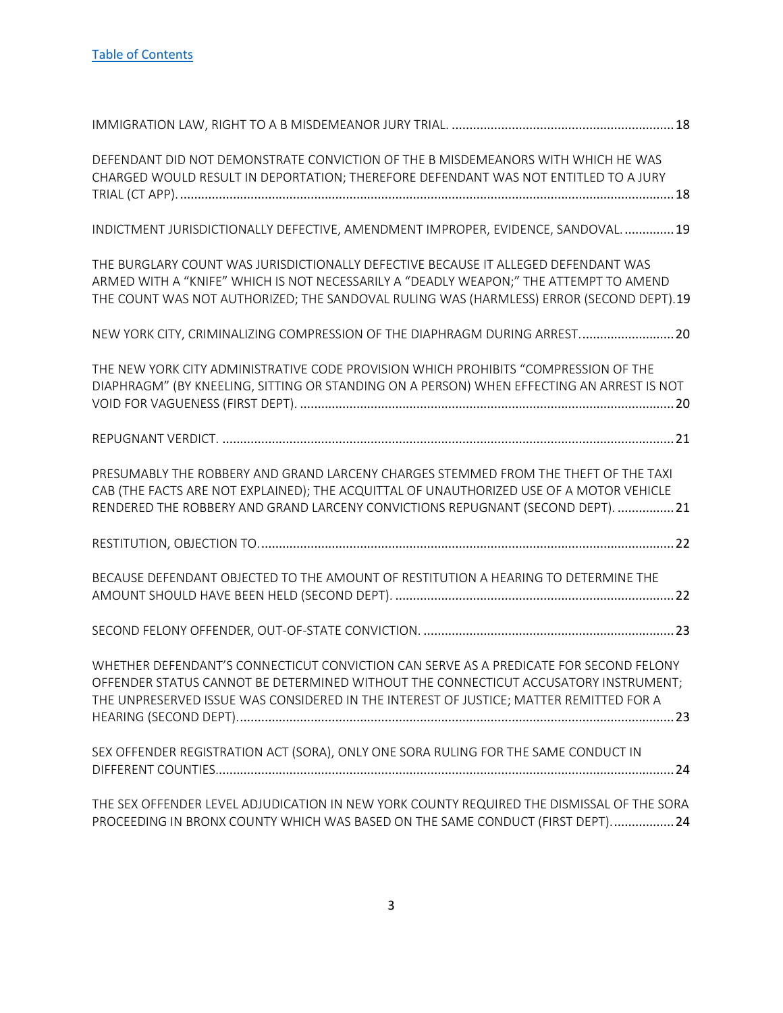| DEFENDANT DID NOT DEMONSTRATE CONVICTION OF THE B MISDEMEANORS WITH WHICH HE WAS<br>CHARGED WOULD RESULT IN DEPORTATION; THEREFORE DEFENDANT WAS NOT ENTITLED TO A JURY                                                                                                |
|------------------------------------------------------------------------------------------------------------------------------------------------------------------------------------------------------------------------------------------------------------------------|
| INDICTMENT JURISDICTIONALLY DEFECTIVE, AMENDMENT IMPROPER, EVIDENCE, SANDOVAL 19                                                                                                                                                                                       |
| THE BURGLARY COUNT WAS JURISDICTIONALLY DEFECTIVE BECAUSE IT ALLEGED DEFENDANT WAS<br>ARMED WITH A "KNIFE" WHICH IS NOT NECESSARILY A "DEADLY WEAPON;" THE ATTEMPT TO AMEND<br>THE COUNT WAS NOT AUTHORIZED; THE SANDOVAL RULING WAS (HARMLESS) ERROR (SECOND DEPT).19 |
| NEW YORK CITY, CRIMINALIZING COMPRESSION OF THE DIAPHRAGM DURING ARREST 20                                                                                                                                                                                             |
| THE NEW YORK CITY ADMINISTRATIVE CODE PROVISION WHICH PROHIBITS "COMPRESSION OF THE<br>DIAPHRAGM" (BY KNEELING, SITTING OR STANDING ON A PERSON) WHEN EFFECTING AN ARREST IS NOT                                                                                       |
|                                                                                                                                                                                                                                                                        |
| PRESUMABLY THE ROBBERY AND GRAND LARCENY CHARGES STEMMED FROM THE THEFT OF THE TAXI<br>CAB (THE FACTS ARE NOT EXPLAINED); THE ACQUITTAL OF UNAUTHORIZED USE OF A MOTOR VEHICLE<br>RENDERED THE ROBBERY AND GRAND LARCENY CONVICTIONS REPUGNANT (SECOND DEPT).  21      |
|                                                                                                                                                                                                                                                                        |
| BECAUSE DEFENDANT OBJECTED TO THE AMOUNT OF RESTITUTION A HEARING TO DETERMINE THE                                                                                                                                                                                     |
|                                                                                                                                                                                                                                                                        |
| WHETHER DEFENDANT'S CONNECTICUT CONVICTION CAN SERVE AS A PREDICATE FOR SECOND FELONY<br>OFFENDER STATUS CANNOT BE DETERMINED WITHOUT THE CONNECTICUT ACCUSATORY INSTRUMENT;<br>THE UNPRESERVED ISSUE WAS CONSIDERED IN THE INTEREST OF JUSTICE; MATTER REMITTED FOR A |
| SEX OFFENDER REGISTRATION ACT (SORA), ONLY ONE SORA RULING FOR THE SAME CONDUCT IN                                                                                                                                                                                     |
| THE SEX OFFENDER LEVEL ADJUDICATION IN NEW YORK COUNTY REQUIRED THE DISMISSAL OF THE SORA<br>PROCEEDING IN BRONX COUNTY WHICH WAS BASED ON THE SAME CONDUCT (FIRST DEPT) 24                                                                                            |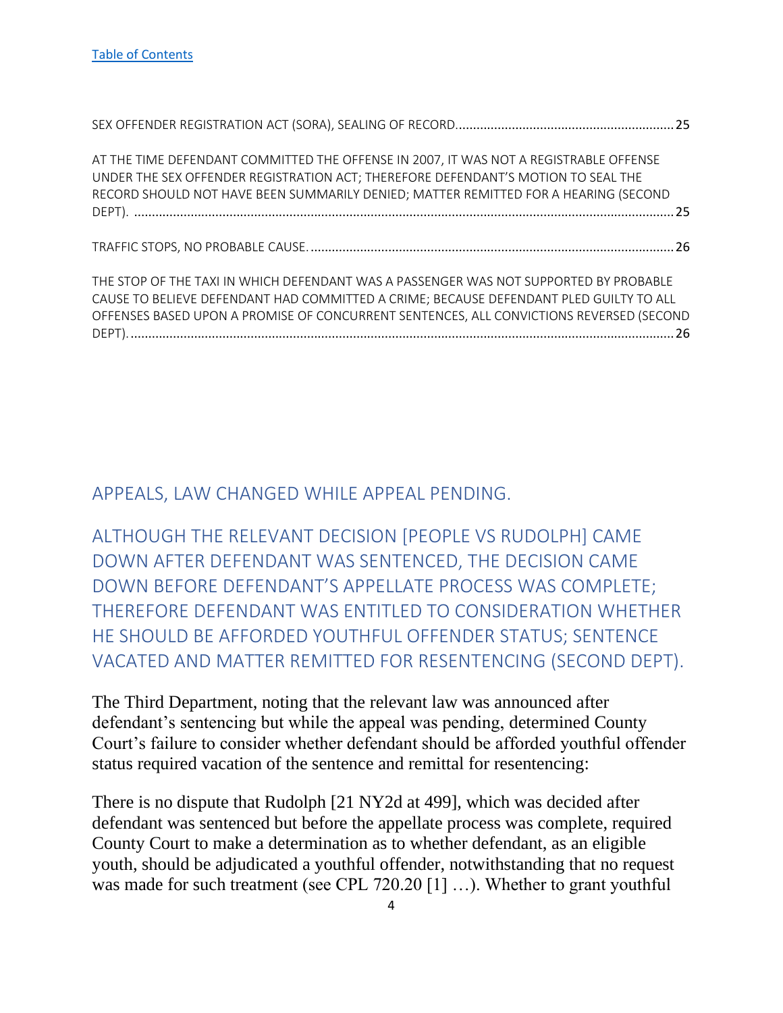| AT THE TIME DEFENDANT COMMITTED THE OFFENSE IN 2007, IT WAS NOT A REGISTRABLE OFFENSE   |  |
|-----------------------------------------------------------------------------------------|--|
| UNDER THE SEX OFFENDER REGISTRATION ACT; THEREFORE DEFENDANT'S MOTION TO SEAL THE       |  |
| RECORD SHOULD NOT HAVE BEEN SUMMARILY DENIED; MATTER REMITTED FOR A HEARING (SECOND     |  |
|                                                                                         |  |
|                                                                                         |  |
|                                                                                         |  |
|                                                                                         |  |
|                                                                                         |  |
| THE STOP OF THE TAXI IN WHICH DEFENDANT WAS A PASSENGER WAS NOT SUPPORTED BY PROBABLE   |  |
| CAUSE TO BELIEVE DEFENDANT HAD COMMITTED A CRIME; BECAUSE DEFENDANT PLED GUILTY TO ALL  |  |
| OFFENSES BASED UPON A PROMISE OF CONCURRENT SENTENCES, ALL CONVICTIONS REVERSED (SECOND |  |
|                                                                                         |  |

#### <span id="page-4-0"></span>APPEALS, LAW CHANGED WHILE APPEAL PENDING.

<span id="page-4-1"></span>ALTHOUGH THE RELEVANT DECISION [PEOPLE VS RUDOLPH] CAME DOWN AFTER DEFENDANT WAS SENTENCED, THE DECISION CAME DOWN BEFORE DEFENDANT'S APPELLATE PROCESS WAS COMPLETE; THEREFORE DEFENDANT WAS ENTITLED TO CONSIDERATION WHETHER HE SHOULD BE AFFORDED YOUTHFUL OFFENDER STATUS; SENTENCE VACATED AND MATTER REMITTED FOR RESENTENCING (SECOND DEPT).

The Third Department, noting that the relevant law was announced after defendant's sentencing but while the appeal was pending, determined County Court's failure to consider whether defendant should be afforded youthful offender status required vacation of the sentence and remittal for resentencing:

There is no dispute that Rudolph [21 NY2d at 499], which was decided after defendant was sentenced but before the appellate process was complete, required County Court to make a determination as to whether defendant, as an eligible youth, should be adjudicated a youthful offender, notwithstanding that no request was made for such treatment (see CPL 720.20 [1] ...). Whether to grant youthful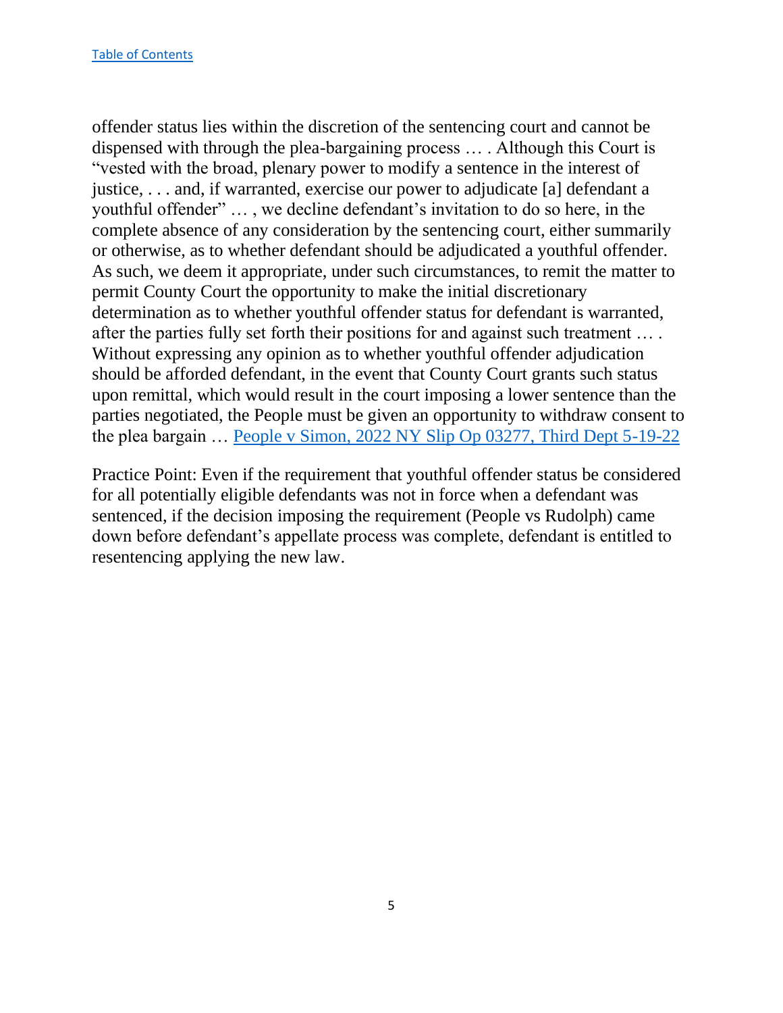offender status lies within the discretion of the sentencing court and cannot be dispensed with through the plea-bargaining process … . Although this Court is "vested with the broad, plenary power to modify a sentence in the interest of justice, . . . and, if warranted, exercise our power to adjudicate [a] defendant a youthful offender" … , we decline defendant's invitation to do so here, in the complete absence of any consideration by the sentencing court, either summarily or otherwise, as to whether defendant should be adjudicated a youthful offender. As such, we deem it appropriate, under such circumstances, to remit the matter to permit County Court the opportunity to make the initial discretionary determination as to whether youthful offender status for defendant is warranted, after the parties fully set forth their positions for and against such treatment … . Without expressing any opinion as to whether youthful offender adjudication should be afforded defendant, in the event that County Court grants such status upon remittal, which would result in the court imposing a lower sentence than the parties negotiated, the People must be given an opportunity to withdraw consent to the plea bargain … [People v Simon, 2022 NY Slip Op 03277, Third Dept 5-19-22](https://nycourts.gov/reporter/3dseries/2022/2022_03277.htm)

Practice Point: Even if the requirement that youthful offender status be considered for all potentially eligible defendants was not in force when a defendant was sentenced, if the decision imposing the requirement (People vs Rudolph) came down before defendant's appellate process was complete, defendant is entitled to resentencing applying the new law.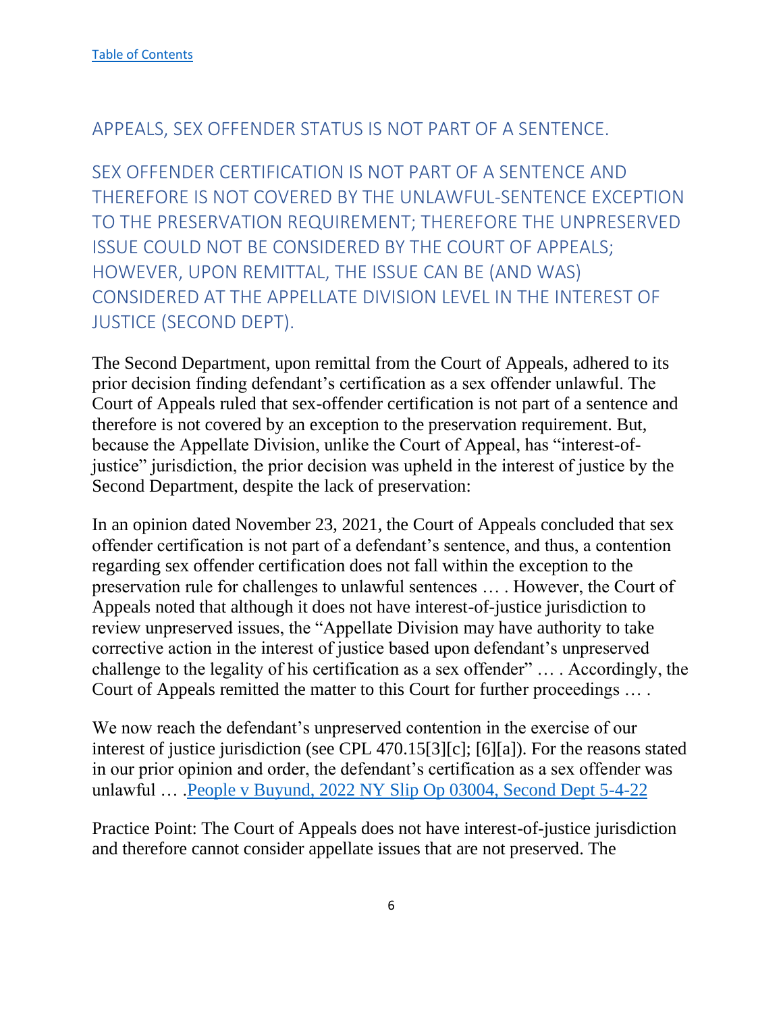# <span id="page-6-0"></span>APPEALS, SEX OFFENDER STATUS IS NOT PART OF A SENTENCE.

<span id="page-6-1"></span>SEX OFFENDER CERTIFICATION IS NOT PART OF A SENTENCE AND THEREFORE IS NOT COVERED BY THE UNLAWFUL-SENTENCE EXCEPTION TO THE PRESERVATION REQUIREMENT; THEREFORE THE UNPRESERVED ISSUE COULD NOT BE CONSIDERED BY THE COURT OF APPEALS; HOWEVER, UPON REMITTAL, THE ISSUE CAN BE (AND WAS) CONSIDERED AT THE APPELLATE DIVISION LEVEL IN THE INTEREST OF JUSTICE (SECOND DEPT).

The Second Department, upon remittal from the Court of Appeals, adhered to its prior decision finding defendant's certification as a sex offender unlawful. The Court of Appeals ruled that sex-offender certification is not part of a sentence and therefore is not covered by an exception to the preservation requirement. But, because the Appellate Division, unlike the Court of Appeal, has "interest-ofjustice" jurisdiction, the prior decision was upheld in the interest of justice by the Second Department, despite the lack of preservation:

In an opinion dated November 23, 2021, the Court of Appeals concluded that sex offender certification is not part of a defendant's sentence, and thus, a contention regarding sex offender certification does not fall within the exception to the preservation rule for challenges to unlawful sentences … . However, the Court of Appeals noted that although it does not have interest-of-justice jurisdiction to review unpreserved issues, the "Appellate Division may have authority to take corrective action in the interest of justice based upon defendant's unpreserved challenge to the legality of his certification as a sex offender" … . Accordingly, the Court of Appeals remitted the matter to this Court for further proceedings … .

We now reach the defendant's unpreserved contention in the exercise of our interest of justice jurisdiction (see CPL 470.15[3][c]; [6][a]). For the reasons stated in our prior opinion and order, the defendant's certification as a sex offender was unlawful … [.People v Buyund, 2022 NY Slip Op 03004, Second Dept 5-4-22](https://nycourts.gov/reporter/3dseries/2022/2022_03004.htm)

Practice Point: The Court of Appeals does not have interest-of-justice jurisdiction and therefore cannot consider appellate issues that are not preserved. The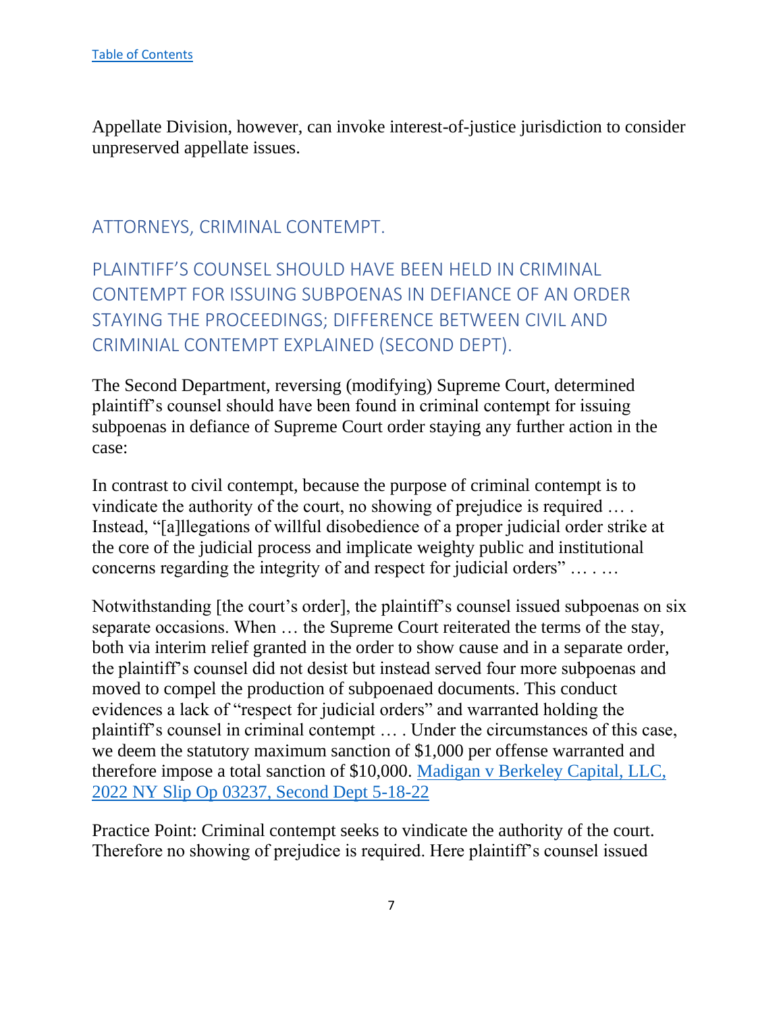Appellate Division, however, can invoke interest-of-justice jurisdiction to consider unpreserved appellate issues.

# <span id="page-7-0"></span>ATTORNEYS, CRIMINAL CONTEMPT.

<span id="page-7-1"></span>PLAINTIFF'S COUNSEL SHOULD HAVE BEEN HELD IN CRIMINAL CONTEMPT FOR ISSUING SUBPOENAS IN DEFIANCE OF AN ORDER STAYING THE PROCEEDINGS; DIFFERENCE BETWEEN CIVIL AND CRIMINIAL CONTEMPT EXPLAINED (SECOND DEPT).

The Second Department, reversing (modifying) Supreme Court, determined plaintiff's counsel should have been found in criminal contempt for issuing subpoenas in defiance of Supreme Court order staying any further action in the case:

In contrast to civil contempt, because the purpose of criminal contempt is to vindicate the authority of the court, no showing of prejudice is required … . Instead, "[a]llegations of willful disobedience of a proper judicial order strike at the core of the judicial process and implicate weighty public and institutional concerns regarding the integrity of and respect for judicial orders" … . …

Notwithstanding [the court's order], the plaintiff's counsel issued subpoenas on six separate occasions. When … the Supreme Court reiterated the terms of the stay, both via interim relief granted in the order to show cause and in a separate order, the plaintiff's counsel did not desist but instead served four more subpoenas and moved to compel the production of subpoenaed documents. This conduct evidences a lack of "respect for judicial orders" and warranted holding the plaintiff's counsel in criminal contempt … . Under the circumstances of this case, we deem the statutory maximum sanction of \$1,000 per offense warranted and therefore impose a total sanction of \$10,000. [Madigan v Berkeley Capital, LLC,](https://nycourts.gov/reporter/3dseries/2022/2022_03237.htm)  [2022 NY Slip Op 03237, Second Dept 5-18-22](https://nycourts.gov/reporter/3dseries/2022/2022_03237.htm)

Practice Point: Criminal contempt seeks to vindicate the authority of the court. Therefore no showing of prejudice is required. Here plaintiff's counsel issued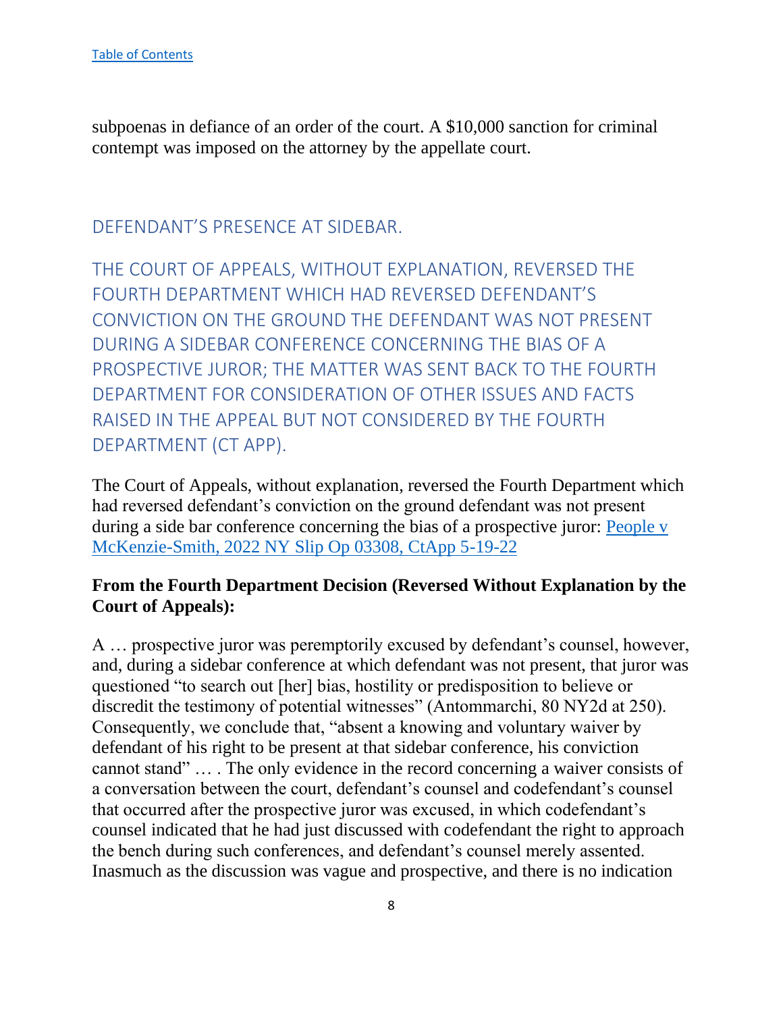subpoenas in defiance of an order of the court. A \$10,000 sanction for criminal contempt was imposed on the attorney by the appellate court.

# <span id="page-8-0"></span>DEFENDANT'S PRESENCE AT SIDEBAR.

<span id="page-8-1"></span>THE COURT OF APPEALS, WITHOUT EXPLANATION, REVERSED THE FOURTH DEPARTMENT WHICH HAD REVERSED DEFENDANT'S CONVICTION ON THE GROUND THE DEFENDANT WAS NOT PRESENT DURING A SIDEBAR CONFERENCE CONCERNING THE BIAS OF A PROSPECTIVE JUROR; THE MATTER WAS SENT BACK TO THE FOURTH DEPARTMENT FOR CONSIDERATION OF OTHER ISSUES AND FACTS RAISED IN THE APPEAL BUT NOT CONSIDERED BY THE FOURTH DEPARTMENT (CT APP).

The Court of Appeals, without explanation, reversed the Fourth Department which had reversed defendant's conviction on the ground defendant was not present during a side bar conference concerning the bias of a prospective juror: [People v](https://www.nycourts.gov/reporter/3dseries/2022/2022_03308.htm)  [McKenzie-Smith, 2022 NY Slip Op 03308, CtApp 5-19-22](https://www.nycourts.gov/reporter/3dseries/2022/2022_03308.htm)

#### **From the Fourth Department Decision (Reversed Without Explanation by the Court of Appeals):**

A … prospective juror was peremptorily excused by defendant's counsel, however, and, during a sidebar conference at which defendant was not present, that juror was questioned "to search out [her] bias, hostility or predisposition to believe or discredit the testimony of potential witnesses" (Antommarchi, 80 NY2d at 250). Consequently, we conclude that, "absent a knowing and voluntary waiver by defendant of his right to be present at that sidebar conference, his conviction cannot stand" … . The only evidence in the record concerning a waiver consists of a conversation between the court, defendant's counsel and codefendant's counsel that occurred after the prospective juror was excused, in which codefendant's counsel indicated that he had just discussed with codefendant the right to approach the bench during such conferences, and defendant's counsel merely assented. Inasmuch as the discussion was vague and prospective, and there is no indication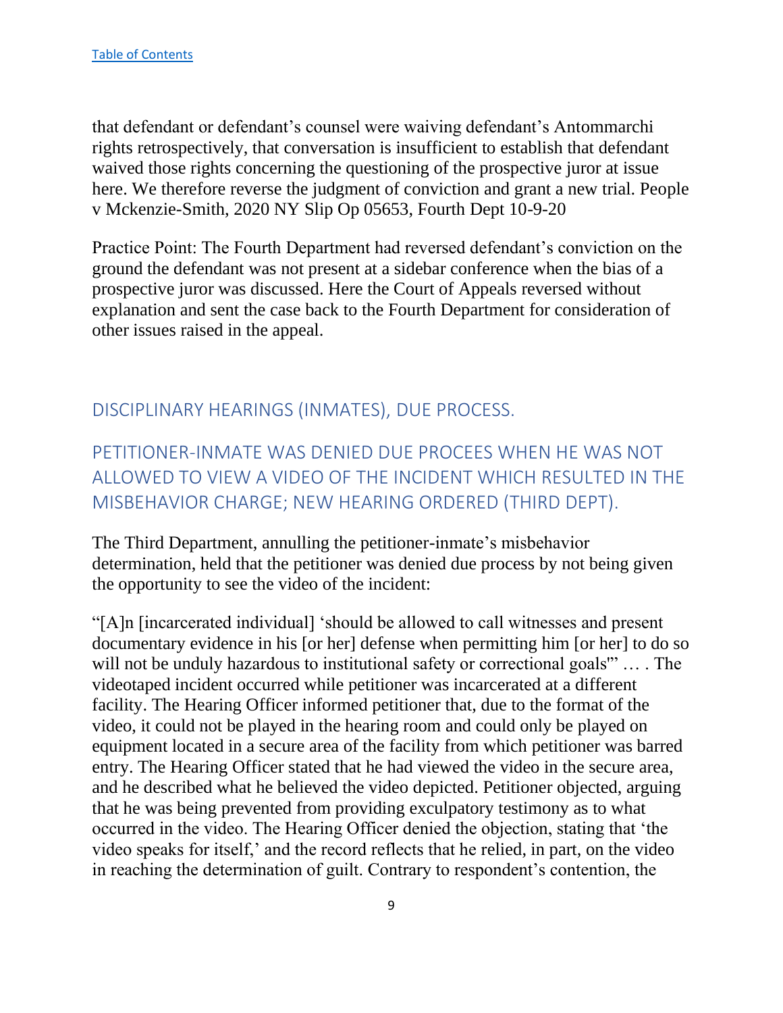that defendant or defendant's counsel were waiving defendant's Antommarchi rights retrospectively, that conversation is insufficient to establish that defendant waived those rights concerning the questioning of the prospective juror at issue here. We therefore reverse the judgment of conviction and grant a new trial. People v Mckenzie-Smith, 2020 NY Slip Op 05653, Fourth Dept 10-9-20

Practice Point: The Fourth Department had reversed defendant's conviction on the ground the defendant was not present at a sidebar conference when the bias of a prospective juror was discussed. Here the Court of Appeals reversed without explanation and sent the case back to the Fourth Department for consideration of other issues raised in the appeal.

#### <span id="page-9-0"></span>DISCIPLINARY HEARINGS (INMATES), DUE PROCESS.

<span id="page-9-1"></span>PETITIONER-INMATE WAS DENIED DUE PROCEES WHEN HE WAS NOT ALLOWED TO VIEW A VIDEO OF THE INCIDENT WHICH RESULTED IN THE MISBEHAVIOR CHARGE; NEW HEARING ORDERED (THIRD DEPT).

The Third Department, annulling the petitioner-inmate's misbehavior determination, held that the petitioner was denied due process by not being given the opportunity to see the video of the incident:

"[A]n [incarcerated individual] 'should be allowed to call witnesses and present documentary evidence in his [or her] defense when permitting him [or her] to do so will not be unduly hazardous to institutional safety or correctional goals" ... The videotaped incident occurred while petitioner was incarcerated at a different facility. The Hearing Officer informed petitioner that, due to the format of the video, it could not be played in the hearing room and could only be played on equipment located in a secure area of the facility from which petitioner was barred entry. The Hearing Officer stated that he had viewed the video in the secure area, and he described what he believed the video depicted. Petitioner objected, arguing that he was being prevented from providing exculpatory testimony as to what occurred in the video. The Hearing Officer denied the objection, stating that 'the video speaks for itself,' and the record reflects that he relied, in part, on the video in reaching the determination of guilt. Contrary to respondent's contention, the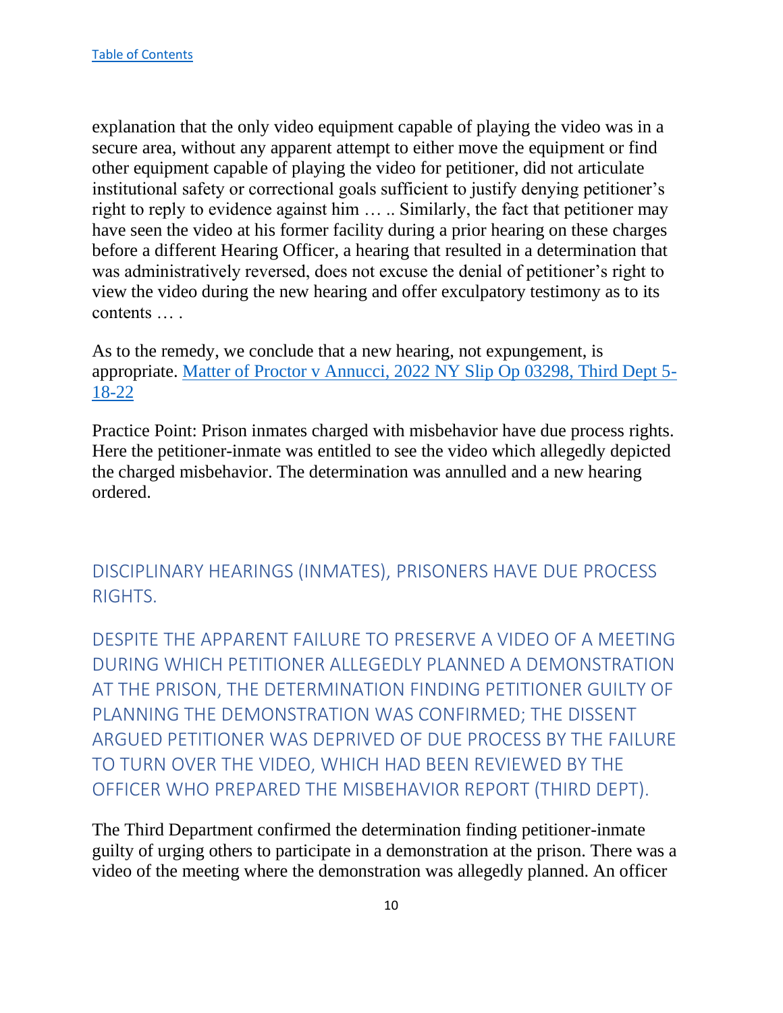explanation that the only video equipment capable of playing the video was in a secure area, without any apparent attempt to either move the equipment or find other equipment capable of playing the video for petitioner, did not articulate institutional safety or correctional goals sufficient to justify denying petitioner's right to reply to evidence against him … .. Similarly, the fact that petitioner may have seen the video at his former facility during a prior hearing on these charges before a different Hearing Officer, a hearing that resulted in a determination that was administratively reversed, does not excuse the denial of petitioner's right to view the video during the new hearing and offer exculpatory testimony as to its contents … .

As to the remedy, we conclude that a new hearing, not expungement, is appropriate. [Matter of Proctor v Annucci, 2022 NY Slip Op 03298, Third Dept 5-](https://nycourts.gov/reporter/3dseries/2022/2022_03298.htm) [18-22](https://nycourts.gov/reporter/3dseries/2022/2022_03298.htm)

Practice Point: Prison inmates charged with misbehavior have due process rights. Here the petitioner-inmate was entitled to see the video which allegedly depicted the charged misbehavior. The determination was annulled and a new hearing ordered.

<span id="page-10-0"></span>DISCIPLINARY HEARINGS (INMATES), PRISONERS HAVE DUE PROCESS RIGHTS.

<span id="page-10-1"></span>DESPITE THE APPARENT FAILURE TO PRESERVE A VIDEO OF A MEETING DURING WHICH PETITIONER ALLEGEDLY PLANNED A DEMONSTRATION AT THE PRISON, THE DETERMINATION FINDING PETITIONER GUILTY OF PLANNING THE DEMONSTRATION WAS CONFIRMED; THE DISSENT ARGUED PETITIONER WAS DEPRIVED OF DUE PROCESS BY THE FAILURE TO TURN OVER THE VIDEO, WHICH HAD BEEN REVIEWED BY THE OFFICER WHO PREPARED THE MISBEHAVIOR REPORT (THIRD DEPT).

The Third Department confirmed the determination finding petitioner-inmate guilty of urging others to participate in a demonstration at the prison. There was a video of the meeting where the demonstration was allegedly planned. An officer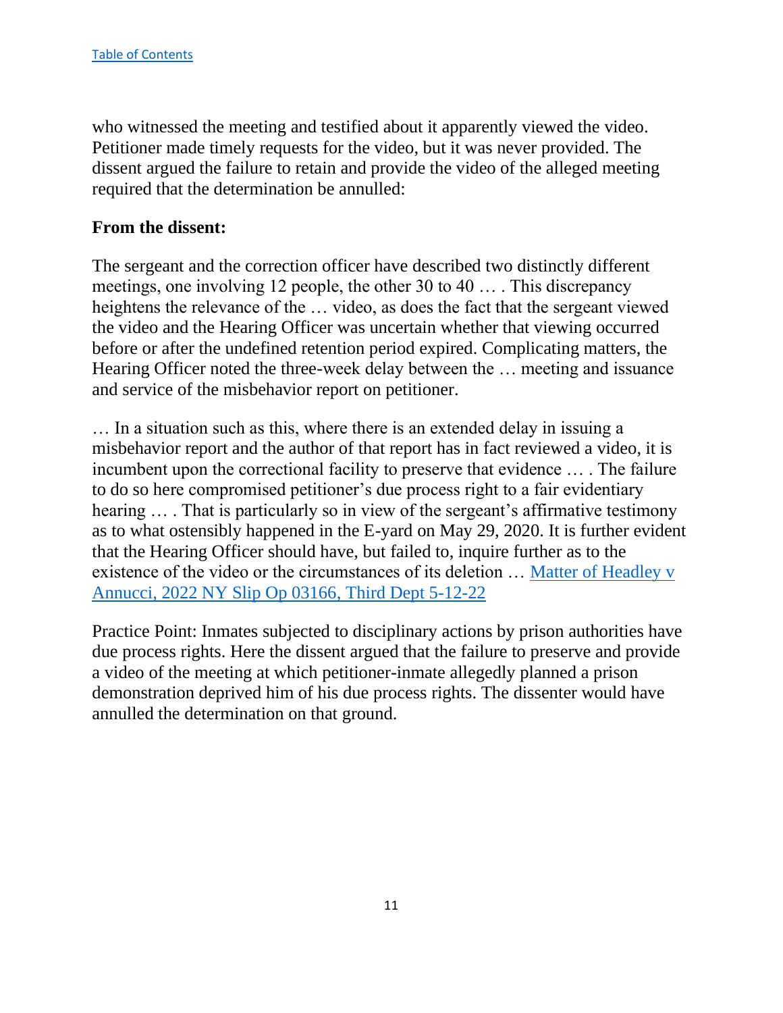who witnessed the meeting and testified about it apparently viewed the video. Petitioner made timely requests for the video, but it was never provided. The dissent argued the failure to retain and provide the video of the alleged meeting required that the determination be annulled:

#### **From the dissent:**

The sergeant and the correction officer have described two distinctly different meetings, one involving 12 people, the other 30 to 40 … . This discrepancy heightens the relevance of the … video, as does the fact that the sergeant viewed the video and the Hearing Officer was uncertain whether that viewing occurred before or after the undefined retention period expired. Complicating matters, the Hearing Officer noted the three-week delay between the … meeting and issuance and service of the misbehavior report on petitioner.

… In a situation such as this, where there is an extended delay in issuing a misbehavior report and the author of that report has in fact reviewed a video, it is incumbent upon the correctional facility to preserve that evidence … . The failure to do so here compromised petitioner's due process right to a fair evidentiary hearing ... . That is particularly so in view of the sergeant's affirmative testimony as to what ostensibly happened in the E-yard on May 29, 2020. It is further evident that the Hearing Officer should have, but failed to, inquire further as to the existence of the video or the circumstances of its deletion … [Matter of Headley v](https://nycourts.gov/reporter/3dseries/2022/2022_03166.htm)  [Annucci, 2022 NY Slip Op 03166, Third Dept 5-12-22](https://nycourts.gov/reporter/3dseries/2022/2022_03166.htm)

Practice Point: Inmates subjected to disciplinary actions by prison authorities have due process rights. Here the dissent argued that the failure to preserve and provide a video of the meeting at which petitioner-inmate allegedly planned a prison demonstration deprived him of his due process rights. The dissenter would have annulled the determination on that ground.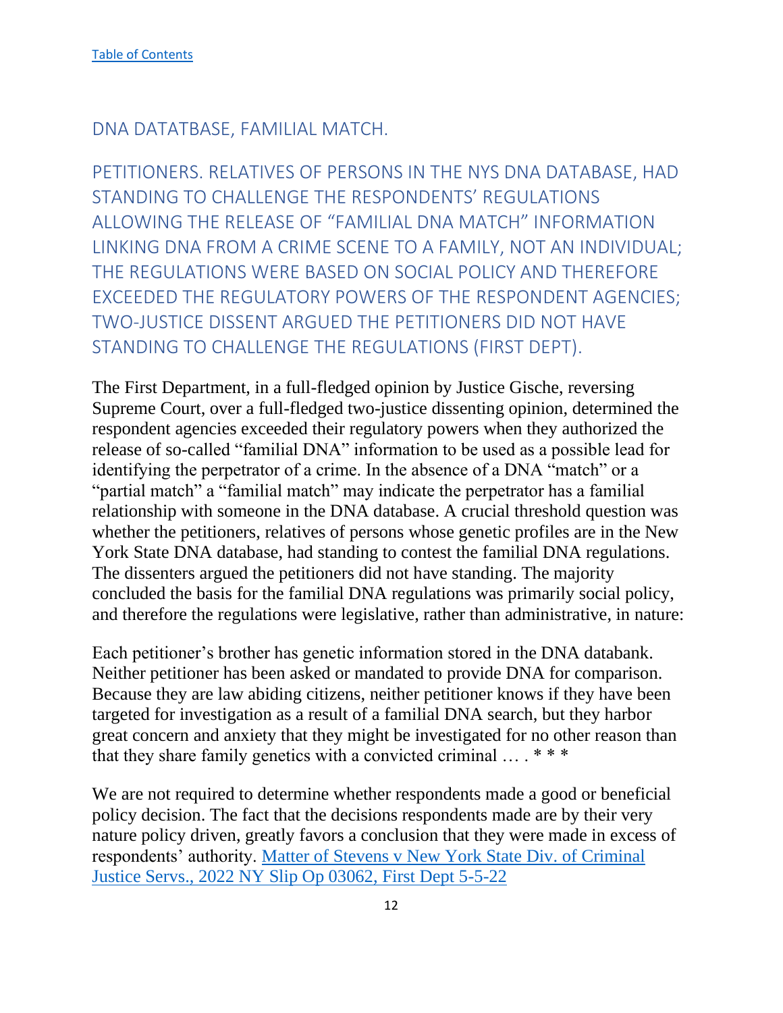<span id="page-12-0"></span>DNA DATATBASE, FAMILIAL MATCH.

<span id="page-12-1"></span>PETITIONERS. RELATIVES OF PERSONS IN THE NYS DNA DATABASE, HAD STANDING TO CHALLENGE THE RESPONDENTS' REGULATIONS ALLOWING THE RELEASE OF "FAMILIAL DNA MATCH" INFORMATION LINKING DNA FROM A CRIME SCENE TO A FAMILY, NOT AN INDIVIDUAL; THE REGULATIONS WERE BASED ON SOCIAL POLICY AND THEREFORE EXCEEDED THE REGULATORY POWERS OF THE RESPONDENT AGENCIES; TWO-JUSTICE DISSENT ARGUED THE PETITIONERS DID NOT HAVE STANDING TO CHALLENGE THE REGULATIONS (FIRST DEPT).

The First Department, in a full-fledged opinion by Justice Gische, reversing Supreme Court, over a full-fledged two-justice dissenting opinion, determined the respondent agencies exceeded their regulatory powers when they authorized the release of so-called "familial DNA" information to be used as a possible lead for identifying the perpetrator of a crime. In the absence of a DNA "match" or a "partial match" a "familial match" may indicate the perpetrator has a familial relationship with someone in the DNA database. A crucial threshold question was whether the petitioners, relatives of persons whose genetic profiles are in the New York State DNA database, had standing to contest the familial DNA regulations. The dissenters argued the petitioners did not have standing. The majority concluded the basis for the familial DNA regulations was primarily social policy, and therefore the regulations were legislative, rather than administrative, in nature:

Each petitioner's brother has genetic information stored in the DNA databank. Neither petitioner has been asked or mandated to provide DNA for comparison. Because they are law abiding citizens, neither petitioner knows if they have been targeted for investigation as a result of a familial DNA search, but they harbor great concern and anxiety that they might be investigated for no other reason than that they share family genetics with a convicted criminal  $\dots$  \*\*\*

We are not required to determine whether respondents made a good or beneficial policy decision. The fact that the decisions respondents made are by their very nature policy driven, greatly favors a conclusion that they were made in excess of respondents' authority. [Matter of Stevens v New York State Div. of Criminal](https://nycourts.gov/reporter/3dseries/2022/2022_03062.htm)  [Justice Servs., 2022 NY Slip Op 03062, First Dept 5-5-22](https://nycourts.gov/reporter/3dseries/2022/2022_03062.htm)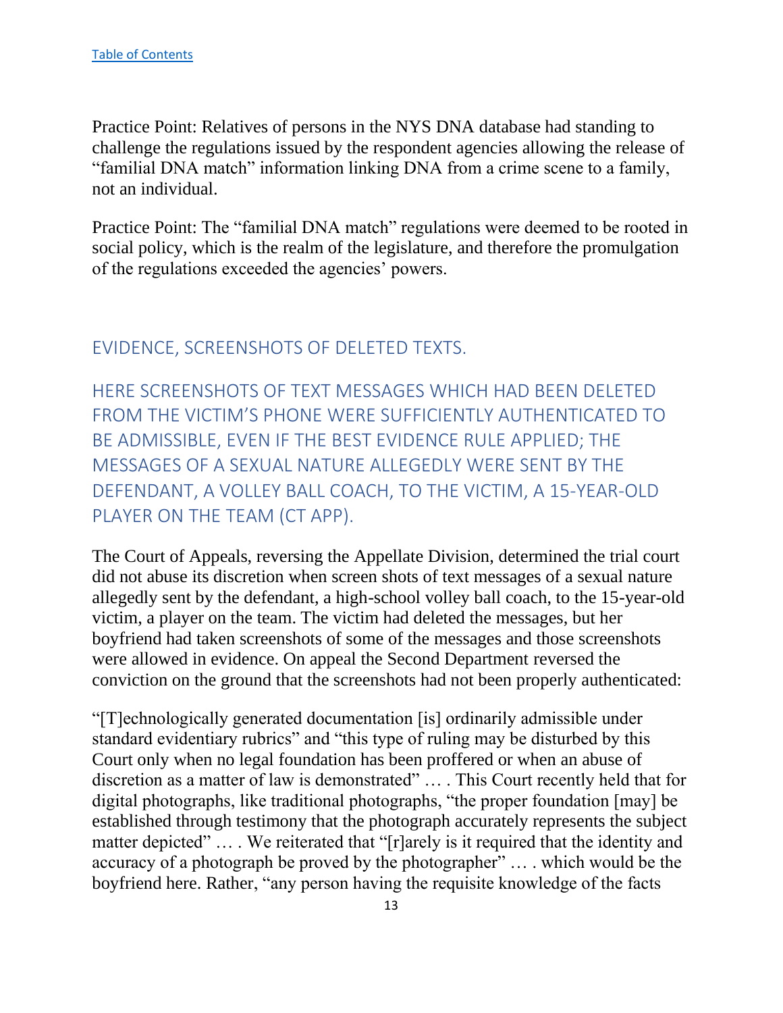Practice Point: Relatives of persons in the NYS DNA database had standing to challenge the regulations issued by the respondent agencies allowing the release of "familial DNA match" information linking DNA from a crime scene to a family, not an individual.

Practice Point: The "familial DNA match" regulations were deemed to be rooted in social policy, which is the realm of the legislature, and therefore the promulgation of the regulations exceeded the agencies' powers.

# <span id="page-13-0"></span>EVIDENCE, SCREENSHOTS OF DELETED TEXTS.

<span id="page-13-1"></span>HERE SCREENSHOTS OF TEXT MESSAGES WHICH HAD BEEN DELETED FROM THE VICTIM'S PHONE WERE SUFFICIENTLY AUTHENTICATED TO BE ADMISSIBLE, EVEN IF THE BEST EVIDENCE RULE APPLIED; THE MESSAGES OF A SEXUAL NATURE ALLEGEDLY WERE SENT BY THE DEFENDANT, A VOLLEY BALL COACH, TO THE VICTIM, A 15-YEAR-OLD PLAYER ON THE TEAM (CT APP).

The Court of Appeals, reversing the Appellate Division, determined the trial court did not abuse its discretion when screen shots of text messages of a sexual nature allegedly sent by the defendant, a high-school volley ball coach, to the 15-year-old victim, a player on the team. The victim had deleted the messages, but her boyfriend had taken screenshots of some of the messages and those screenshots were allowed in evidence. On appeal the Second Department reversed the conviction on the ground that the screenshots had not been properly authenticated:

"[T]echnologically generated documentation [is] ordinarily admissible under standard evidentiary rubrics" and "this type of ruling may be disturbed by this Court only when no legal foundation has been proffered or when an abuse of discretion as a matter of law is demonstrated" … . This Court recently held that for digital photographs, like traditional photographs, "the proper foundation [may] be established through testimony that the photograph accurately represents the subject matter depicted" ... . We reiterated that "[r]arely is it required that the identity and accuracy of a photograph be proved by the photographer" … . which would be the boyfriend here. Rather, "any person having the requisite knowledge of the facts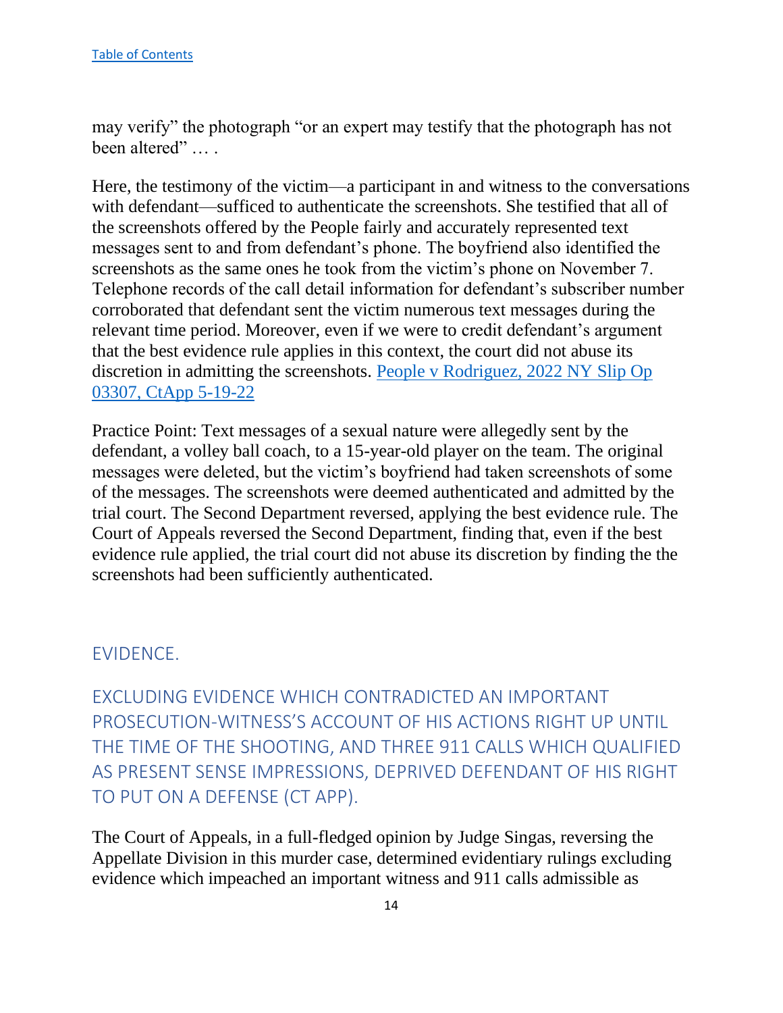may verify" the photograph "or an expert may testify that the photograph has not been altered" … .

Here, the testimony of the victim—a participant in and witness to the conversations with defendant—sufficed to authenticate the screenshots. She testified that all of the screenshots offered by the People fairly and accurately represented text messages sent to and from defendant's phone. The boyfriend also identified the screenshots as the same ones he took from the victim's phone on November 7. Telephone records of the call detail information for defendant's subscriber number corroborated that defendant sent the victim numerous text messages during the relevant time period. Moreover, even if we were to credit defendant's argument that the best evidence rule applies in this context, the court did not abuse its discretion in admitting the screenshots. [People v Rodriguez, 2022 NY Slip Op](https://www.nycourts.gov/reporter/3dseries/2022/2022_03307.htm)  [03307, CtApp 5-19-22](https://www.nycourts.gov/reporter/3dseries/2022/2022_03307.htm)

Practice Point: Text messages of a sexual nature were allegedly sent by the defendant, a volley ball coach, to a 15-year-old player on the team. The original messages were deleted, but the victim's boyfriend had taken screenshots of some of the messages. The screenshots were deemed authenticated and admitted by the trial court. The Second Department reversed, applying the best evidence rule. The Court of Appeals reversed the Second Department, finding that, even if the best evidence rule applied, the trial court did not abuse its discretion by finding the the screenshots had been sufficiently authenticated.

#### <span id="page-14-0"></span>EVIDENCE.

<span id="page-14-1"></span>EXCLUDING EVIDENCE WHICH CONTRADICTED AN IMPORTANT PROSECUTION-WITNESS'S ACCOUNT OF HIS ACTIONS RIGHT UP UNTIL THE TIME OF THE SHOOTING, AND THREE 911 CALLS WHICH QUALIFIED AS PRESENT SENSE IMPRESSIONS, DEPRIVED DEFENDANT OF HIS RIGHT TO PUT ON A DEFENSE (CT APP).

The Court of Appeals, in a full-fledged opinion by Judge Singas, reversing the Appellate Division in this murder case, determined evidentiary rulings excluding evidence which impeached an important witness and 911 calls admissible as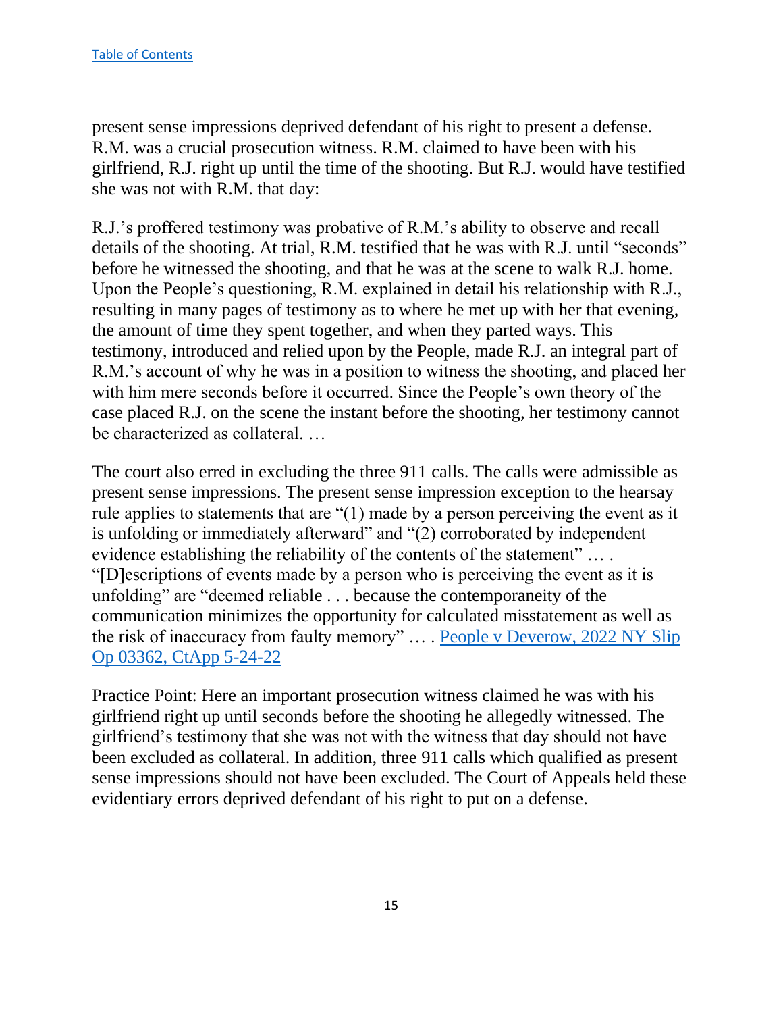present sense impressions deprived defendant of his right to present a defense. R.M. was a crucial prosecution witness. R.M. claimed to have been with his girlfriend, R.J. right up until the time of the shooting. But R.J. would have testified she was not with R.M. that day:

R.J.'s proffered testimony was probative of R.M.'s ability to observe and recall details of the shooting. At trial, R.M. testified that he was with R.J. until "seconds" before he witnessed the shooting, and that he was at the scene to walk R.J. home. Upon the People's questioning, R.M. explained in detail his relationship with R.J., resulting in many pages of testimony as to where he met up with her that evening, the amount of time they spent together, and when they parted ways. This testimony, introduced and relied upon by the People, made R.J. an integral part of R.M.'s account of why he was in a position to witness the shooting, and placed her with him mere seconds before it occurred. Since the People's own theory of the case placed R.J. on the scene the instant before the shooting, her testimony cannot be characterized as collateral. …

The court also erred in excluding the three 911 calls. The calls were admissible as present sense impressions. The present sense impression exception to the hearsay rule applies to statements that are "(1) made by a person perceiving the event as it is unfolding or immediately afterward" and "(2) corroborated by independent evidence establishing the reliability of the contents of the statement" ... . "[D]escriptions of events made by a person who is perceiving the event as it is unfolding" are "deemed reliable . . . because the contemporaneity of the communication minimizes the opportunity for calculated misstatement as well as the risk of inaccuracy from faulty memory" … . [People v Deverow, 2022 NY Slip](https://www.nycourts.gov/reporter/3dseries/2022/2022_03362.htm)  [Op 03362, CtApp 5-24-22](https://www.nycourts.gov/reporter/3dseries/2022/2022_03362.htm)

Practice Point: Here an important prosecution witness claimed he was with his girlfriend right up until seconds before the shooting he allegedly witnessed. The girlfriend's testimony that she was not with the witness that day should not have been excluded as collateral. In addition, three 911 calls which qualified as present sense impressions should not have been excluded. The Court of Appeals held these evidentiary errors deprived defendant of his right to put on a defense.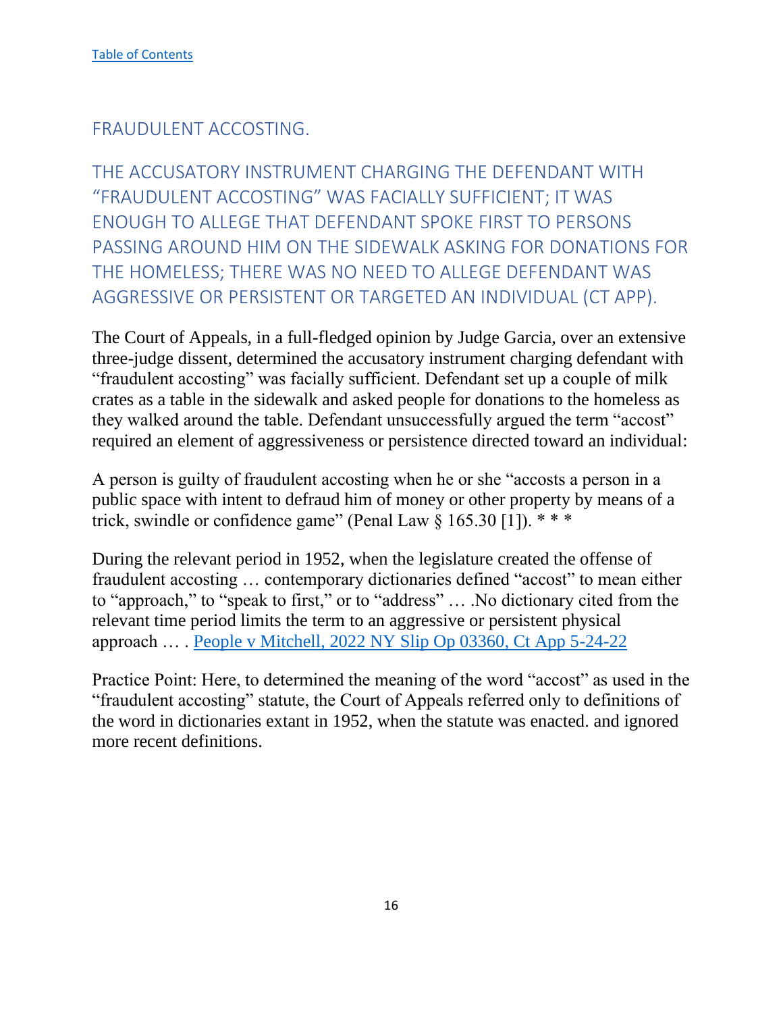# <span id="page-16-0"></span>FRAUDULENT ACCOSTING.

<span id="page-16-1"></span>THE ACCUSATORY INSTRUMENT CHARGING THE DEFENDANT WITH "FRAUDULENT ACCOSTING" WAS FACIALLY SUFFICIENT; IT WAS ENOUGH TO ALLEGE THAT DEFENDANT SPOKE FIRST TO PERSONS PASSING AROUND HIM ON THE SIDEWALK ASKING FOR DONATIONS FOR THE HOMELESS; THERE WAS NO NEED TO ALLEGE DEFENDANT WAS AGGRESSIVE OR PERSISTENT OR TARGETED AN INDIVIDUAL (CT APP).

The Court of Appeals, in a full-fledged opinion by Judge Garcia, over an extensive three-judge dissent, determined the accusatory instrument charging defendant with "fraudulent accosting" was facially sufficient. Defendant set up a couple of milk crates as a table in the sidewalk and asked people for donations to the homeless as they walked around the table. Defendant unsuccessfully argued the term "accost" required an element of aggressiveness or persistence directed toward an individual:

A person is guilty of fraudulent accosting when he or she "accosts a person in a public space with intent to defraud him of money or other property by means of a trick, swindle or confidence game" (Penal Law  $\S 165.30$  [1]). \*\*\*

During the relevant period in 1952, when the legislature created the offense of fraudulent accosting … contemporary dictionaries defined "accost" to mean either to "approach," to "speak to first," or to "address" … .No dictionary cited from the relevant time period limits the term to an aggressive or persistent physical approach … . [People v Mitchell, 2022 NY Slip Op 03360, Ct App 5-24-22](https://www.nycourts.gov/reporter/3dseries/2022/2022_03360.htm)

Practice Point: Here, to determined the meaning of the word "accost" as used in the "fraudulent accosting" statute, the Court of Appeals referred only to definitions of the word in dictionaries extant in 1952, when the statute was enacted. and ignored more recent definitions.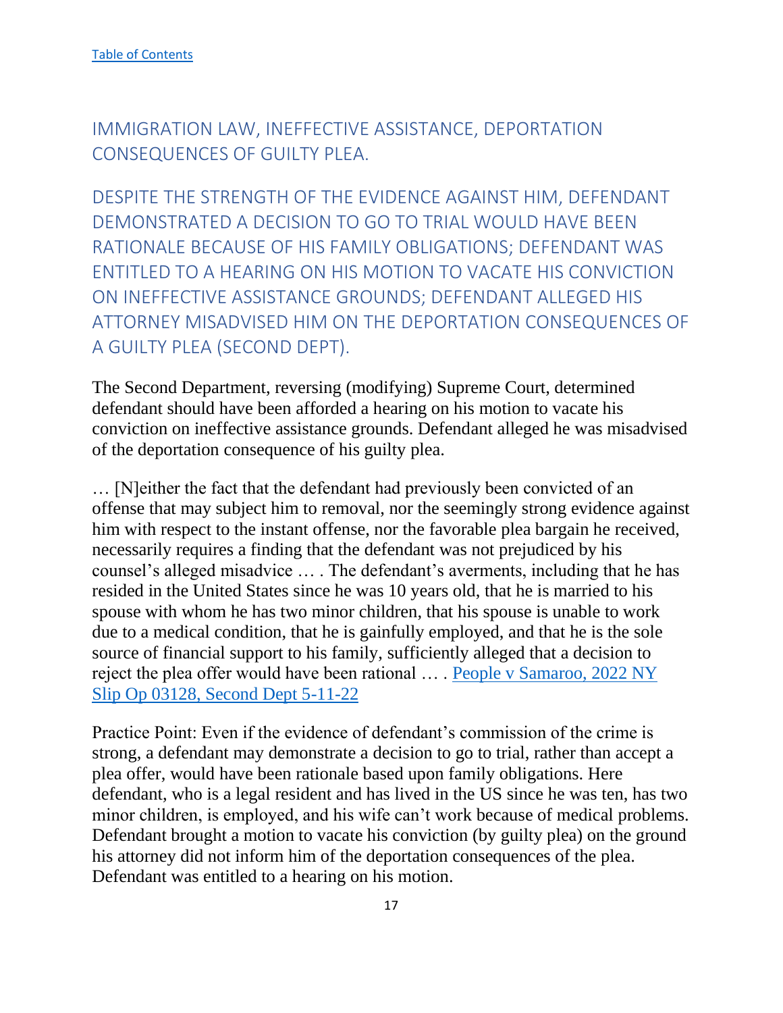# <span id="page-17-0"></span>IMMIGRATION LAW, INEFFECTIVE ASSISTANCE, DEPORTATION CONSEQUENCES OF GUILTY PLEA.

<span id="page-17-1"></span>DESPITE THE STRENGTH OF THE EVIDENCE AGAINST HIM, DEFENDANT DEMONSTRATED A DECISION TO GO TO TRIAL WOULD HAVE BEEN RATIONALE BECAUSE OF HIS FAMILY OBLIGATIONS; DEFENDANT WAS ENTITLED TO A HEARING ON HIS MOTION TO VACATE HIS CONVICTION ON INEFFECTIVE ASSISTANCE GROUNDS; DEFENDANT ALLEGED HIS ATTORNEY MISADVISED HIM ON THE DEPORTATION CONSEQUENCES OF A GUILTY PLEA (SECOND DEPT).

The Second Department, reversing (modifying) Supreme Court, determined defendant should have been afforded a hearing on his motion to vacate his conviction on ineffective assistance grounds. Defendant alleged he was misadvised of the deportation consequence of his guilty plea.

… [N]either the fact that the defendant had previously been convicted of an offense that may subject him to removal, nor the seemingly strong evidence against him with respect to the instant offense, nor the favorable plea bargain he received, necessarily requires a finding that the defendant was not prejudiced by his counsel's alleged misadvice … . The defendant's averments, including that he has resided in the United States since he was 10 years old, that he is married to his spouse with whom he has two minor children, that his spouse is unable to work due to a medical condition, that he is gainfully employed, and that he is the sole source of financial support to his family, sufficiently alleged that a decision to reject the plea offer would have been rational … . [People v Samaroo, 2022 NY](https://nycourts.gov/reporter/3dseries/2022/2022_03128.htm)  [Slip Op 03128, Second Dept 5-11-22](https://nycourts.gov/reporter/3dseries/2022/2022_03128.htm)

Practice Point: Even if the evidence of defendant's commission of the crime is strong, a defendant may demonstrate a decision to go to trial, rather than accept a plea offer, would have been rationale based upon family obligations. Here defendant, who is a legal resident and has lived in the US since he was ten, has two minor children, is employed, and his wife can't work because of medical problems. Defendant brought a motion to vacate his conviction (by guilty plea) on the ground his attorney did not inform him of the deportation consequences of the plea. Defendant was entitled to a hearing on his motion.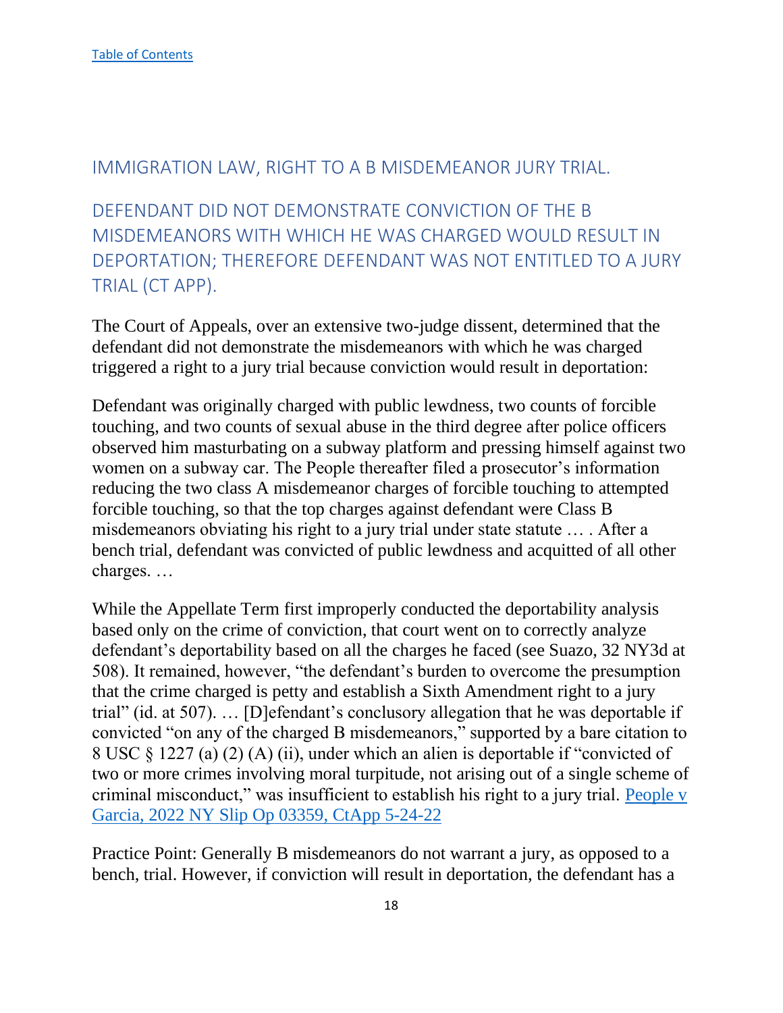#### <span id="page-18-0"></span>IMMIGRATION LAW, RIGHT TO A B MISDEMEANOR JURY TRIAL.

<span id="page-18-1"></span>DEFENDANT DID NOT DEMONSTRATE CONVICTION OF THE B MISDEMEANORS WITH WHICH HE WAS CHARGED WOULD RESULT IN DEPORTATION; THEREFORE DEFENDANT WAS NOT ENTITLED TO A JURY TRIAL (CT APP).

The Court of Appeals, over an extensive two-judge dissent, determined that the defendant did not demonstrate the misdemeanors with which he was charged triggered a right to a jury trial because conviction would result in deportation:

Defendant was originally charged with public lewdness, two counts of forcible touching, and two counts of sexual abuse in the third degree after police officers observed him masturbating on a subway platform and pressing himself against two women on a subway car. The People thereafter filed a prosecutor's information reducing the two class A misdemeanor charges of forcible touching to attempted forcible touching, so that the top charges against defendant were Class B misdemeanors obviating his right to a jury trial under state statute … . After a bench trial, defendant was convicted of public lewdness and acquitted of all other charges. …

While the Appellate Term first improperly conducted the deportability analysis based only on the crime of conviction, that court went on to correctly analyze defendant's deportability based on all the charges he faced (see Suazo, 32 NY3d at 508). It remained, however, "the defendant's burden to overcome the presumption that the crime charged is petty and establish a Sixth Amendment right to a jury trial" (id. at 507). … [D]efendant's conclusory allegation that he was deportable if convicted "on any of the charged B misdemeanors," supported by a bare citation to 8 USC § 1227 (a) (2) (A) (ii), under which an alien is deportable if "convicted of two or more crimes involving moral turpitude, not arising out of a single scheme of criminal misconduct," was insufficient to establish his right to a jury trial. [People v](https://www.nycourts.gov/reporter/3dseries/2022/2022_03359.htm)  [Garcia, 2022 NY Slip Op 03359, CtApp 5-24-22](https://www.nycourts.gov/reporter/3dseries/2022/2022_03359.htm)

Practice Point: Generally B misdemeanors do not warrant a jury, as opposed to a bench, trial. However, if conviction will result in deportation, the defendant has a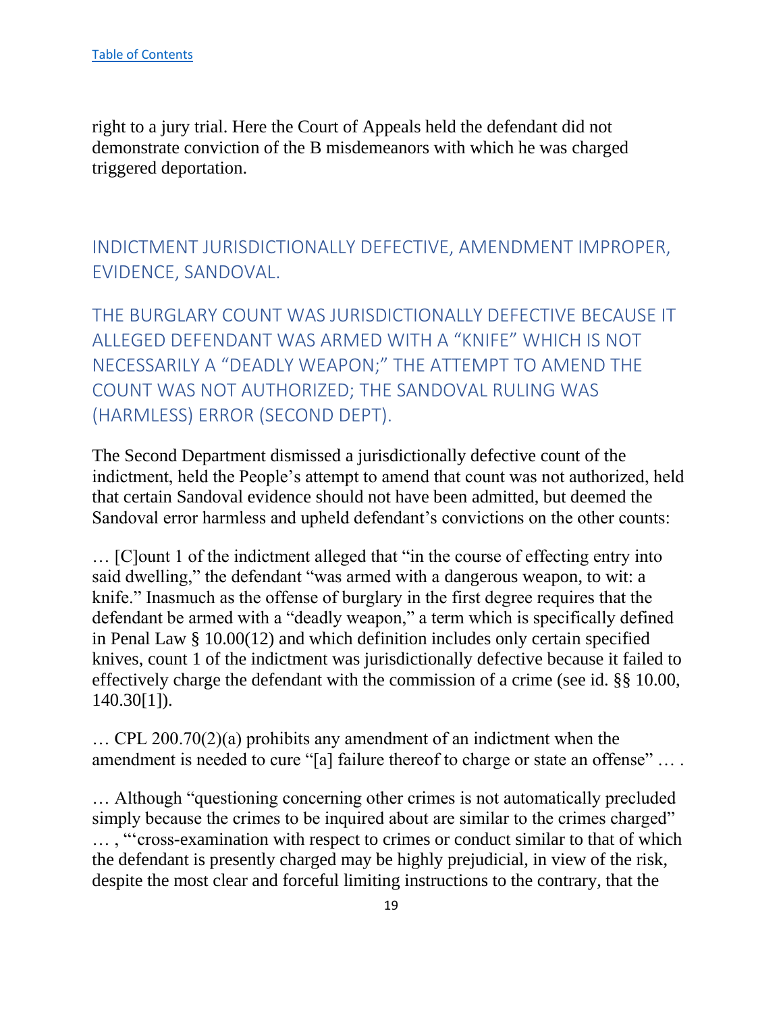right to a jury trial. Here the Court of Appeals held the defendant did not demonstrate conviction of the B misdemeanors with which he was charged triggered deportation.

<span id="page-19-0"></span>INDICTMENT JURISDICTIONALLY DEFECTIVE, AMENDMENT IMPROPER, EVIDENCE, SANDOVAL.

<span id="page-19-1"></span>THE BURGLARY COUNT WAS JURISDICTIONALLY DEFECTIVE BECAUSE IT ALLEGED DEFENDANT WAS ARMED WITH A "KNIFE" WHICH IS NOT NECESSARILY A "DEADLY WEAPON;" THE ATTEMPT TO AMEND THE COUNT WAS NOT AUTHORIZED; THE SANDOVAL RULING WAS (HARMLESS) ERROR (SECOND DEPT).

The Second Department dismissed a jurisdictionally defective count of the indictment, held the People's attempt to amend that count was not authorized, held that certain Sandoval evidence should not have been admitted, but deemed the Sandoval error harmless and upheld defendant's convictions on the other counts:

… [C]ount 1 of the indictment alleged that "in the course of effecting entry into said dwelling," the defendant "was armed with a dangerous weapon, to wit: a knife." Inasmuch as the offense of burglary in the first degree requires that the defendant be armed with a "deadly weapon," a term which is specifically defined in Penal Law § 10.00(12) and which definition includes only certain specified knives, count 1 of the indictment was jurisdictionally defective because it failed to effectively charge the defendant with the commission of a crime (see id. §§ 10.00, 140.30[1]).

… CPL 200.70(2)(a) prohibits any amendment of an indictment when the amendment is needed to cure "[a] failure thereof to charge or state an offense" ....

… Although "questioning concerning other crimes is not automatically precluded simply because the crimes to be inquired about are similar to the crimes charged" … , "'cross-examination with respect to crimes or conduct similar to that of which the defendant is presently charged may be highly prejudicial, in view of the risk, despite the most clear and forceful limiting instructions to the contrary, that the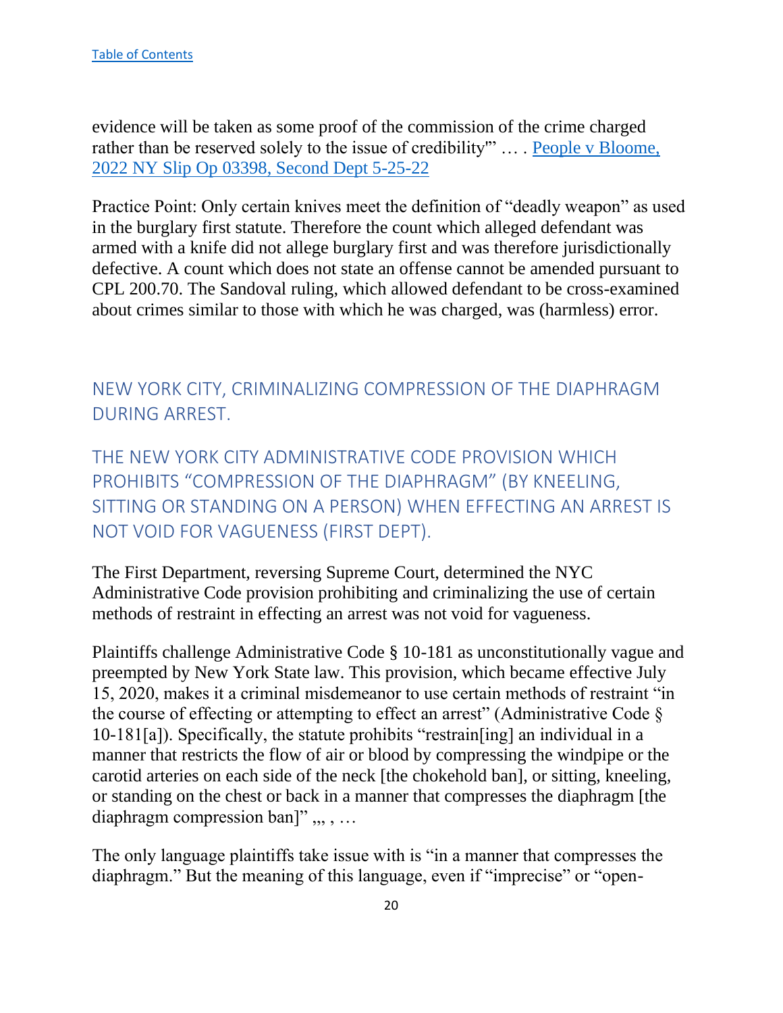evidence will be taken as some proof of the commission of the crime charged rather than be reserved solely to the issue of credibility"" ... . People v Bloome, [2022 NY Slip Op 03398, Second Dept 5-25-22](https://nycourts.gov/reporter/3dseries/2022/2022_03398.htm)

Practice Point: Only certain knives meet the definition of "deadly weapon" as used in the burglary first statute. Therefore the count which alleged defendant was armed with a knife did not allege burglary first and was therefore jurisdictionally defective. A count which does not state an offense cannot be amended pursuant to CPL 200.70. The Sandoval ruling, which allowed defendant to be cross-examined about crimes similar to those with which he was charged, was (harmless) error.

<span id="page-20-0"></span>NEW YORK CITY, CRIMINALIZING COMPRESSION OF THE DIAPHRAGM DURING ARREST.

<span id="page-20-1"></span>THE NEW YORK CITY ADMINISTRATIVE CODE PROVISION WHICH PROHIBITS "COMPRESSION OF THE DIAPHRAGM" (BY KNEELING, SITTING OR STANDING ON A PERSON) WHEN EFFECTING AN ARREST IS NOT VOID FOR VAGUENESS (FIRST DEPT).

The First Department, reversing Supreme Court, determined the NYC Administrative Code provision prohibiting and criminalizing the use of certain methods of restraint in effecting an arrest was not void for vagueness.

Plaintiffs challenge Administrative Code § 10-181 as unconstitutionally vague and preempted by New York State law. This provision, which became effective July 15, 2020, makes it a criminal misdemeanor to use certain methods of restraint "in the course of effecting or attempting to effect an arrest" (Administrative Code § 10-181[a]). Specifically, the statute prohibits "restrain[ing] an individual in a manner that restricts the flow of air or blood by compressing the windpipe or the carotid arteries on each side of the neck [the chokehold ban], or sitting, kneeling, or standing on the chest or back in a manner that compresses the diaphragm [the diaphragm compression ban]",,,,...

The only language plaintiffs take issue with is "in a manner that compresses the diaphragm." But the meaning of this language, even if "imprecise" or "open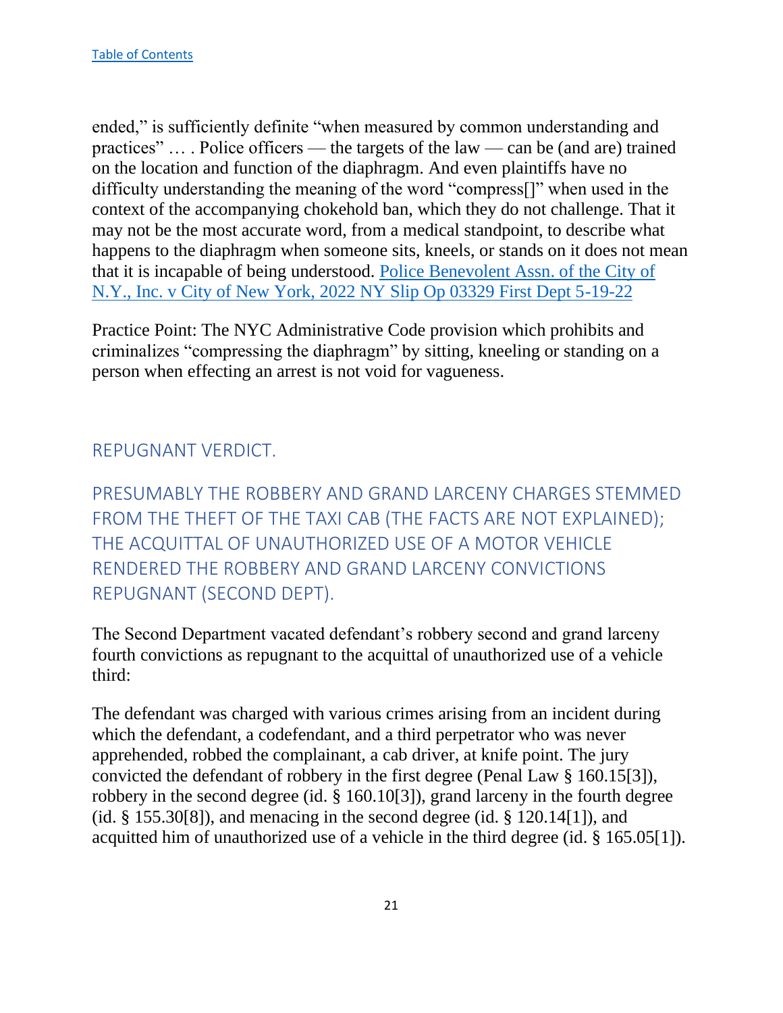ended," is sufficiently definite "when measured by common understanding and practices" … . Police officers — the targets of the law — can be (and are) trained on the location and function of the diaphragm. And even plaintiffs have no difficulty understanding the meaning of the word "compress[]" when used in the context of the accompanying chokehold ban, which they do not challenge. That it may not be the most accurate word, from a medical standpoint, to describe what happens to the diaphragm when someone sits, kneels, or stands on it does not mean that it is incapable of being understood. [Police Benevolent Assn. of the City of](https://nycourts.gov/reporter/3dseries/2022/2022_03329.htm)  [N.Y., Inc. v City of New York, 2022 NY Slip Op 03329 First Dept 5-19-22](https://nycourts.gov/reporter/3dseries/2022/2022_03329.htm)

Practice Point: The NYC Administrative Code provision which prohibits and criminalizes "compressing the diaphragm" by sitting, kneeling or standing on a person when effecting an arrest is not void for vagueness.

# <span id="page-21-0"></span>REPUGNANT VERDICT.

<span id="page-21-1"></span>PRESUMABLY THE ROBBERY AND GRAND LARCENY CHARGES STEMMED FROM THE THEFT OF THE TAXI CAB (THE FACTS ARE NOT EXPLAINED); THE ACQUITTAL OF UNAUTHORIZED USE OF A MOTOR VEHICLE RENDERED THE ROBBERY AND GRAND LARCENY CONVICTIONS REPUGNANT (SECOND DEPT).

The Second Department vacated defendant's robbery second and grand larceny fourth convictions as repugnant to the acquittal of unauthorized use of a vehicle third:

The defendant was charged with various crimes arising from an incident during which the defendant, a codefendant, and a third perpetrator who was never apprehended, robbed the complainant, a cab driver, at knife point. The jury convicted the defendant of robbery in the first degree (Penal Law § 160.15[3]), robbery in the second degree (id. § 160.10[3]), grand larceny in the fourth degree (id.  $\S$  155.30[8]), and menacing in the second degree (id.  $\S$  120.14[1]), and acquitted him of unauthorized use of a vehicle in the third degree (id. § 165.05[1]).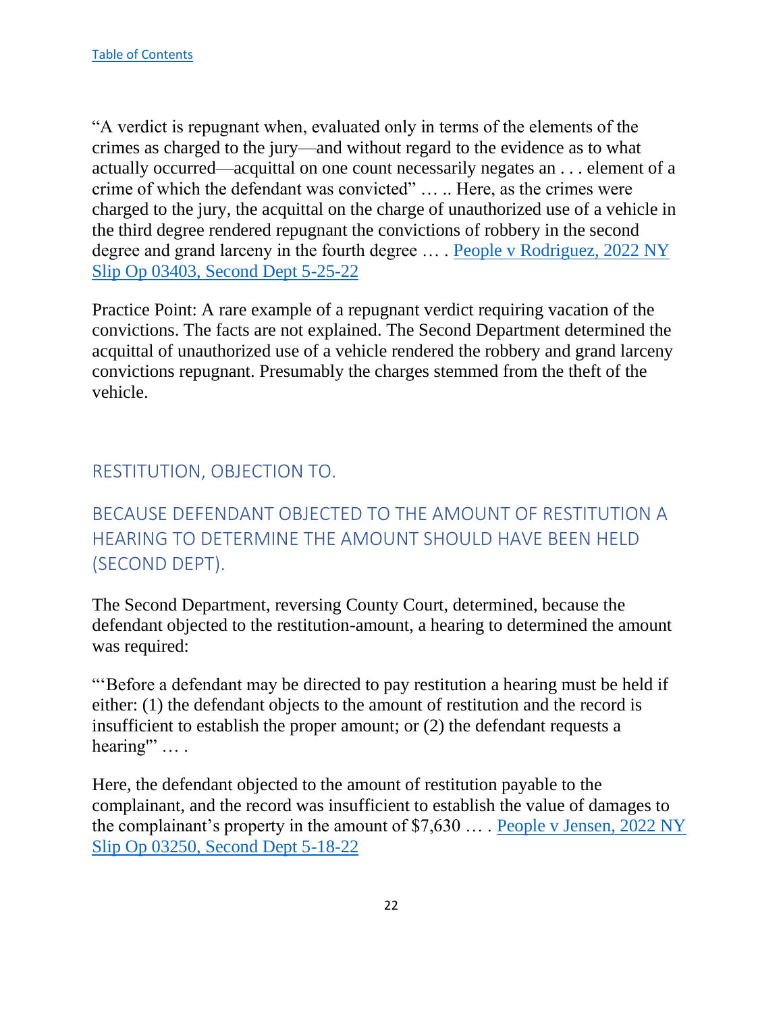"A verdict is repugnant when, evaluated only in terms of the elements of the crimes as charged to the jury—and without regard to the evidence as to what actually occurred—acquittal on one count necessarily negates an . . . element of a crime of which the defendant was convicted" … .. Here, as the crimes were charged to the jury, the acquittal on the charge of unauthorized use of a vehicle in the third degree rendered repugnant the convictions of robbery in the second degree and grand larceny in the fourth degree … . [People v Rodriguez, 2022 NY](https://nycourts.gov/reporter/3dseries/2022/2022_03403.htm)  [Slip Op 03403, Second Dept 5-25-22](https://nycourts.gov/reporter/3dseries/2022/2022_03403.htm)

Practice Point: A rare example of a repugnant verdict requiring vacation of the convictions. The facts are not explained. The Second Department determined the acquittal of unauthorized use of a vehicle rendered the robbery and grand larceny convictions repugnant. Presumably the charges stemmed from the theft of the vehicle.

# <span id="page-22-0"></span>RESTITUTION, OBJECTION TO.

# <span id="page-22-1"></span>BECAUSE DEFENDANT OBJECTED TO THE AMOUNT OF RESTITUTION A HEARING TO DETERMINE THE AMOUNT SHOULD HAVE BEEN HELD (SECOND DEPT).

The Second Department, reversing County Court, determined, because the defendant objected to the restitution-amount, a hearing to determined the amount was required:

"'Before a defendant may be directed to pay restitution a hearing must be held if either: (1) the defendant objects to the amount of restitution and the record is insufficient to establish the proper amount; or (2) the defendant requests a hearing" ... .

Here, the defendant objected to the amount of restitution payable to the complainant, and the record was insufficient to establish the value of damages to the complainant's property in the amount of \$7,630 … . [People v Jensen, 2022 NY](https://nycourts.gov/reporter/3dseries/2022/2022_03250.htm)  [Slip Op 03250, Second Dept 5-18-22](https://nycourts.gov/reporter/3dseries/2022/2022_03250.htm)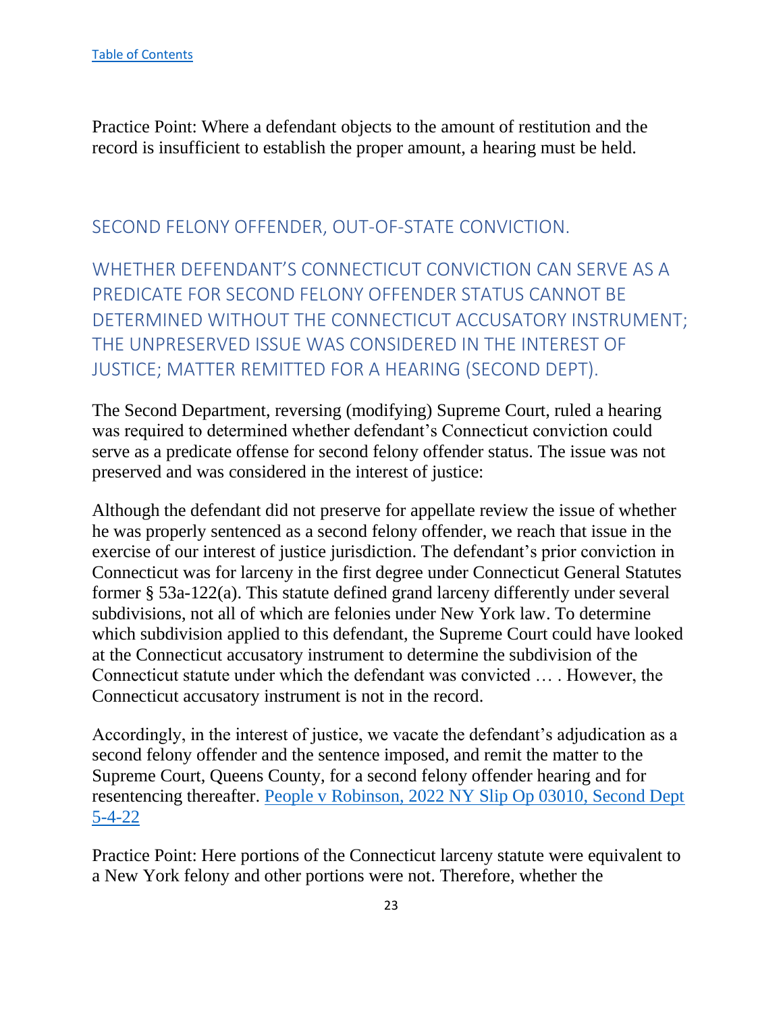Practice Point: Where a defendant objects to the amount of restitution and the record is insufficient to establish the proper amount, a hearing must be held.

# <span id="page-23-0"></span>SECOND FELONY OFFENDER, OUT-OF-STATE CONVICTION.

<span id="page-23-1"></span>WHETHER DEFENDANT'S CONNECTICUT CONVICTION CAN SERVE AS A PREDICATE FOR SECOND FELONY OFFENDER STATUS CANNOT BE DETERMINED WITHOUT THE CONNECTICUT ACCUSATORY INSTRUMENT; THE UNPRESERVED ISSUE WAS CONSIDERED IN THE INTEREST OF JUSTICE; MATTER REMITTED FOR A HEARING (SECOND DEPT).

The Second Department, reversing (modifying) Supreme Court, ruled a hearing was required to determined whether defendant's Connecticut conviction could serve as a predicate offense for second felony offender status. The issue was not preserved and was considered in the interest of justice:

Although the defendant did not preserve for appellate review the issue of whether he was properly sentenced as a second felony offender, we reach that issue in the exercise of our interest of justice jurisdiction. The defendant's prior conviction in Connecticut was for larceny in the first degree under Connecticut General Statutes former § 53a-122(a). This statute defined grand larceny differently under several subdivisions, not all of which are felonies under New York law. To determine which subdivision applied to this defendant, the Supreme Court could have looked at the Connecticut accusatory instrument to determine the subdivision of the Connecticut statute under which the defendant was convicted … . However, the Connecticut accusatory instrument is not in the record.

Accordingly, in the interest of justice, we vacate the defendant's adjudication as a second felony offender and the sentence imposed, and remit the matter to the Supreme Court, Queens County, for a second felony offender hearing and for resentencing thereafter. [People v Robinson, 2022 NY Slip Op 03010, Second Dept](https://nycourts.gov/reporter/3dseries/2022/2022_03010.htm)  [5-4-22](https://nycourts.gov/reporter/3dseries/2022/2022_03010.htm)

Practice Point: Here portions of the Connecticut larceny statute were equivalent to a New York felony and other portions were not. Therefore, whether the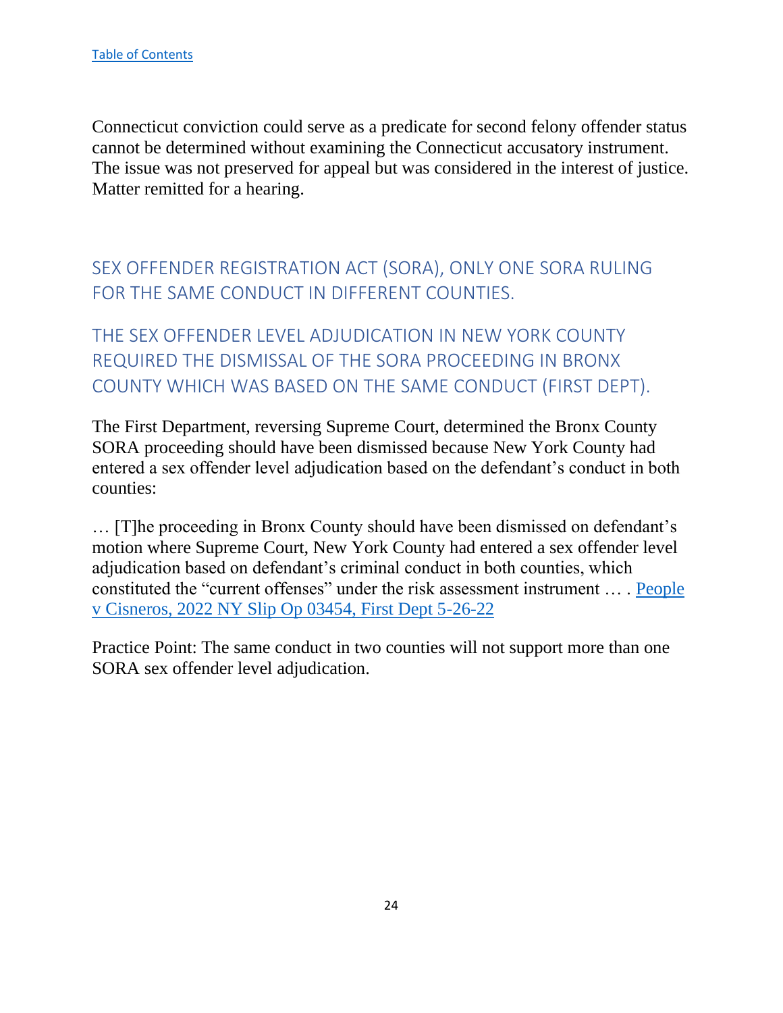Connecticut conviction could serve as a predicate for second felony offender status cannot be determined without examining the Connecticut accusatory instrument. The issue was not preserved for appeal but was considered in the interest of justice. Matter remitted for a hearing.

<span id="page-24-0"></span>SEX OFFENDER REGISTRATION ACT (SORA), ONLY ONE SORA RULING FOR THE SAME CONDUCT IN DIFFERENT COUNTIES.

<span id="page-24-1"></span>THE SEX OFFENDER LEVEL ADJUDICATION IN NEW YORK COUNTY REQUIRED THE DISMISSAL OF THE SORA PROCEEDING IN BRONX COUNTY WHICH WAS BASED ON THE SAME CONDUCT (FIRST DEPT).

The First Department, reversing Supreme Court, determined the Bronx County SORA proceeding should have been dismissed because New York County had entered a sex offender level adjudication based on the defendant's conduct in both counties:

… [T]he proceeding in Bronx County should have been dismissed on defendant's motion where Supreme Court, New York County had entered a sex offender level adjudication based on defendant's criminal conduct in both counties, which constituted the "current offenses" under the risk assessment instrument … . [People](https://nycourts.gov/reporter/3dseries/2022/2022_03454.htm)  [v Cisneros, 2022 NY Slip Op 03454, First Dept 5-26-22](https://nycourts.gov/reporter/3dseries/2022/2022_03454.htm)

Practice Point: The same conduct in two counties will not support more than one SORA sex offender level adjudication.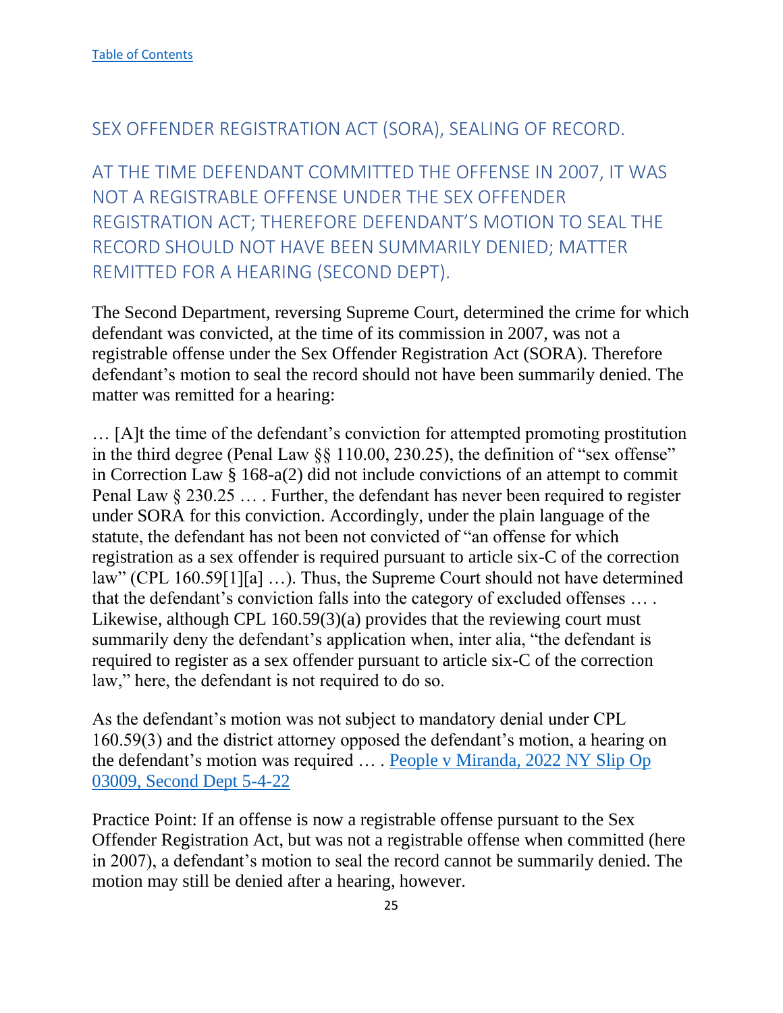### <span id="page-25-0"></span>SEX OFFENDER REGISTRATION ACT (SORA), SEALING OF RECORD.

<span id="page-25-1"></span>AT THE TIME DEFENDANT COMMITTED THE OFFENSE IN 2007, IT WAS NOT A REGISTRABLE OFFENSE UNDER THE SEX OFFENDER REGISTRATION ACT; THEREFORE DEFENDANT'S MOTION TO SEAL THE RECORD SHOULD NOT HAVE BEEN SUMMARILY DENIED; MATTER REMITTED FOR A HEARING (SECOND DEPT).

The Second Department, reversing Supreme Court, determined the crime for which defendant was convicted, at the time of its commission in 2007, was not a registrable offense under the Sex Offender Registration Act (SORA). Therefore defendant's motion to seal the record should not have been summarily denied. The matter was remitted for a hearing:

… [A]t the time of the defendant's conviction for attempted promoting prostitution in the third degree (Penal Law §§ 110.00, 230.25), the definition of "sex offense" in Correction Law § 168-a(2) did not include convictions of an attempt to commit Penal Law § 230.25 … . Further, the defendant has never been required to register under SORA for this conviction. Accordingly, under the plain language of the statute, the defendant has not been not convicted of "an offense for which registration as a sex offender is required pursuant to article six-C of the correction law" (CPL 160.59[1][a] …). Thus, the Supreme Court should not have determined that the defendant's conviction falls into the category of excluded offenses … . Likewise, although CPL 160.59(3)(a) provides that the reviewing court must summarily deny the defendant's application when, inter alia, "the defendant is required to register as a sex offender pursuant to article six-C of the correction law," here, the defendant is not required to do so.

As the defendant's motion was not subject to mandatory denial under CPL 160.59(3) and the district attorney opposed the defendant's motion, a hearing on the defendant's motion was required … . People v Miranda, 2022 NY Slip Op 03009, Second Dept 5-4-22

Practice Point: If an offense is now a registrable offense pursuant to the Sex Offender Registration Act, but was not a registrable offense when committed (here in 2007), a defendant's motion to seal the record cannot be summarily denied. The motion may still be denied after a hearing, however.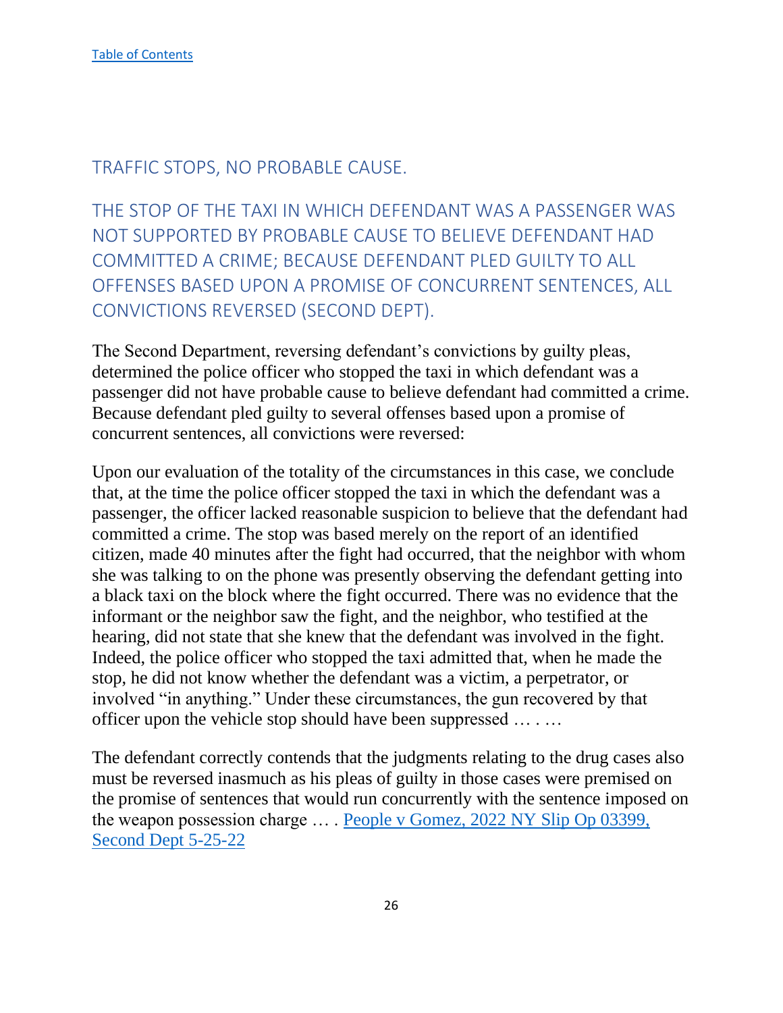# <span id="page-26-0"></span>TRAFFIC STOPS, NO PROBABLE CAUSE.

<span id="page-26-1"></span>THE STOP OF THE TAXI IN WHICH DEFENDANT WAS A PASSENGER WAS NOT SUPPORTED BY PROBABLE CAUSE TO BELIEVE DEFENDANT HAD COMMITTED A CRIME; BECAUSE DEFENDANT PLED GUILTY TO ALL OFFENSES BASED UPON A PROMISE OF CONCURRENT SENTENCES, ALL CONVICTIONS REVERSED (SECOND DEPT).

The Second Department, reversing defendant's convictions by guilty pleas, determined the police officer who stopped the taxi in which defendant was a passenger did not have probable cause to believe defendant had committed a crime. Because defendant pled guilty to several offenses based upon a promise of concurrent sentences, all convictions were reversed:

Upon our evaluation of the totality of the circumstances in this case, we conclude that, at the time the police officer stopped the taxi in which the defendant was a passenger, the officer lacked reasonable suspicion to believe that the defendant had committed a crime. The stop was based merely on the report of an identified citizen, made 40 minutes after the fight had occurred, that the neighbor with whom she was talking to on the phone was presently observing the defendant getting into a black taxi on the block where the fight occurred. There was no evidence that the informant or the neighbor saw the fight, and the neighbor, who testified at the hearing, did not state that she knew that the defendant was involved in the fight. Indeed, the police officer who stopped the taxi admitted that, when he made the stop, he did not know whether the defendant was a victim, a perpetrator, or involved "in anything." Under these circumstances, the gun recovered by that officer upon the vehicle stop should have been suppressed … . …

The defendant correctly contends that the judgments relating to the drug cases also must be reversed inasmuch as his pleas of guilty in those cases were premised on the promise of sentences that would run concurrently with the sentence imposed on the weapon possession charge … . People v Gomez, 2022 NY Slip Op 03399, Second Dept 5-25-22